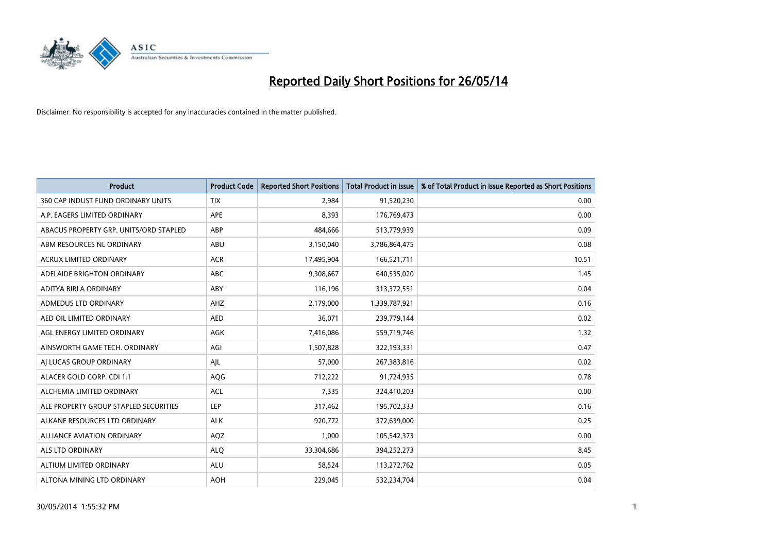

| <b>Product</b>                         | <b>Product Code</b> | <b>Reported Short Positions</b> | <b>Total Product in Issue</b> | % of Total Product in Issue Reported as Short Positions |
|----------------------------------------|---------------------|---------------------------------|-------------------------------|---------------------------------------------------------|
| 360 CAP INDUST FUND ORDINARY UNITS     | <b>TIX</b>          | 2,984                           | 91,520,230                    | 0.00                                                    |
| A.P. EAGERS LIMITED ORDINARY           | APE                 | 8,393                           | 176,769,473                   | 0.00                                                    |
| ABACUS PROPERTY GRP. UNITS/ORD STAPLED | ABP                 | 484.666                         | 513,779,939                   | 0.09                                                    |
| ABM RESOURCES NL ORDINARY              | ABU                 | 3,150,040                       | 3,786,864,475                 | 0.08                                                    |
| <b>ACRUX LIMITED ORDINARY</b>          | <b>ACR</b>          | 17,495,904                      | 166,521,711                   | 10.51                                                   |
| ADELAIDE BRIGHTON ORDINARY             | <b>ABC</b>          | 9,308,667                       | 640,535,020                   | 1.45                                                    |
| ADITYA BIRLA ORDINARY                  | ABY                 | 116,196                         | 313,372,551                   | 0.04                                                    |
| ADMEDUS LTD ORDINARY                   | AHZ                 | 2,179,000                       | 1,339,787,921                 | 0.16                                                    |
| AED OIL LIMITED ORDINARY               | <b>AED</b>          | 36,071                          | 239,779,144                   | 0.02                                                    |
| AGL ENERGY LIMITED ORDINARY            | AGK                 | 7,416,086                       | 559,719,746                   | 1.32                                                    |
| AINSWORTH GAME TECH. ORDINARY          | AGI                 | 1,507,828                       | 322,193,331                   | 0.47                                                    |
| AI LUCAS GROUP ORDINARY                | AJL                 | 57,000                          | 267,383,816                   | 0.02                                                    |
| ALACER GOLD CORP. CDI 1:1              | AQG                 | 712,222                         | 91,724,935                    | 0.78                                                    |
| ALCHEMIA LIMITED ORDINARY              | <b>ACL</b>          | 7,335                           | 324,410,203                   | 0.00                                                    |
| ALE PROPERTY GROUP STAPLED SECURITIES  | LEP                 | 317,462                         | 195,702,333                   | 0.16                                                    |
| ALKANE RESOURCES LTD ORDINARY          | <b>ALK</b>          | 920,772                         | 372,639,000                   | 0.25                                                    |
| ALLIANCE AVIATION ORDINARY             | AQZ                 | 1,000                           | 105,542,373                   | 0.00                                                    |
| <b>ALS LTD ORDINARY</b>                | <b>ALQ</b>          | 33,304,686                      | 394,252,273                   | 8.45                                                    |
| ALTIUM LIMITED ORDINARY                | <b>ALU</b>          | 58,524                          | 113,272,762                   | 0.05                                                    |
| ALTONA MINING LTD ORDINARY             | <b>AOH</b>          | 229,045                         | 532,234,704                   | 0.04                                                    |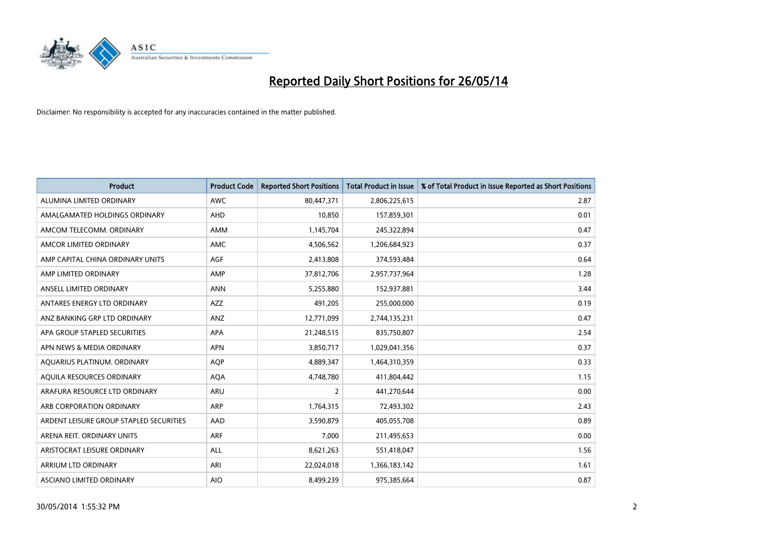

| <b>Product</b>                          | <b>Product Code</b> | <b>Reported Short Positions</b> | <b>Total Product in Issue</b> | % of Total Product in Issue Reported as Short Positions |
|-----------------------------------------|---------------------|---------------------------------|-------------------------------|---------------------------------------------------------|
| ALUMINA LIMITED ORDINARY                | <b>AWC</b>          | 80,447,371                      | 2,806,225,615                 | 2.87                                                    |
| AMALGAMATED HOLDINGS ORDINARY           | AHD                 | 10,850                          | 157,859,301                   | 0.01                                                    |
| AMCOM TELECOMM, ORDINARY                | AMM                 | 1,145,704                       | 245,322,894                   | 0.47                                                    |
| AMCOR LIMITED ORDINARY                  | AMC                 | 4,506,562                       | 1,206,684,923                 | 0.37                                                    |
| AMP CAPITAL CHINA ORDINARY UNITS        | AGF                 | 2,413,808                       | 374,593,484                   | 0.64                                                    |
| AMP LIMITED ORDINARY                    | AMP                 | 37,812,706                      | 2,957,737,964                 | 1.28                                                    |
| ANSELL LIMITED ORDINARY                 | <b>ANN</b>          | 5,255,880                       | 152,937,881                   | 3.44                                                    |
| ANTARES ENERGY LTD ORDINARY             | <b>AZZ</b>          | 491,205                         | 255,000,000                   | 0.19                                                    |
| ANZ BANKING GRP LTD ORDINARY            | ANZ                 | 12,771,099                      | 2,744,135,231                 | 0.47                                                    |
| APA GROUP STAPLED SECURITIES            | <b>APA</b>          | 21,248,515                      | 835,750,807                   | 2.54                                                    |
| APN NEWS & MEDIA ORDINARY               | <b>APN</b>          | 3,850,717                       | 1,029,041,356                 | 0.37                                                    |
| AQUARIUS PLATINUM. ORDINARY             | AQP                 | 4,889,347                       | 1,464,310,359                 | 0.33                                                    |
| AQUILA RESOURCES ORDINARY               | <b>AQA</b>          | 4,748,780                       | 411,804,442                   | 1.15                                                    |
| ARAFURA RESOURCE LTD ORDINARY           | <b>ARU</b>          | $\overline{2}$                  | 441,270,644                   | 0.00                                                    |
| ARB CORPORATION ORDINARY                | ARP                 | 1,764,315                       | 72,493,302                    | 2.43                                                    |
| ARDENT LEISURE GROUP STAPLED SECURITIES | <b>AAD</b>          | 3,590,879                       | 405,055,708                   | 0.89                                                    |
| ARENA REIT. ORDINARY UNITS              | <b>ARF</b>          | 7,000                           | 211,495,653                   | 0.00                                                    |
| ARISTOCRAT LEISURE ORDINARY             | <b>ALL</b>          | 8,621,263                       | 551,418,047                   | 1.56                                                    |
| ARRIUM LTD ORDINARY                     | ARI                 | 22,024,018                      | 1,366,183,142                 | 1.61                                                    |
| ASCIANO LIMITED ORDINARY                | <b>AIO</b>          | 8,499,239                       | 975,385,664                   | 0.87                                                    |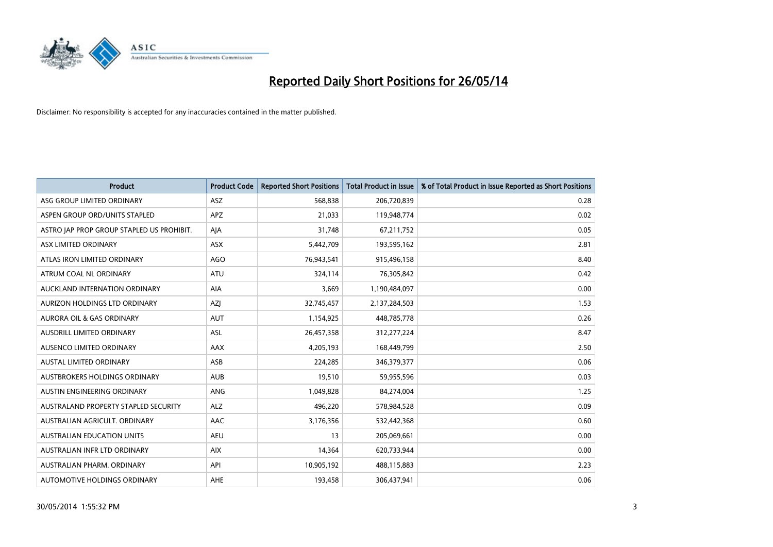

| <b>Product</b>                            | <b>Product Code</b> | <b>Reported Short Positions</b> | <b>Total Product in Issue</b> | % of Total Product in Issue Reported as Short Positions |
|-------------------------------------------|---------------------|---------------------------------|-------------------------------|---------------------------------------------------------|
| ASG GROUP LIMITED ORDINARY                | ASZ                 | 568,838                         | 206,720,839                   | 0.28                                                    |
| ASPEN GROUP ORD/UNITS STAPLED             | APZ                 | 21,033                          | 119,948,774                   | 0.02                                                    |
| ASTRO JAP PROP GROUP STAPLED US PROHIBIT. | AJA                 | 31,748                          | 67,211,752                    | 0.05                                                    |
| ASX LIMITED ORDINARY                      | ASX                 | 5,442,709                       | 193,595,162                   | 2.81                                                    |
| ATLAS IRON LIMITED ORDINARY               | <b>AGO</b>          | 76,943,541                      | 915,496,158                   | 8.40                                                    |
| ATRUM COAL NL ORDINARY                    | <b>ATU</b>          | 324,114                         | 76,305,842                    | 0.42                                                    |
| AUCKLAND INTERNATION ORDINARY             | AIA                 | 3,669                           | 1,190,484,097                 | 0.00                                                    |
| AURIZON HOLDINGS LTD ORDINARY             | AZJ                 | 32,745,457                      | 2,137,284,503                 | 1.53                                                    |
| <b>AURORA OIL &amp; GAS ORDINARY</b>      | <b>AUT</b>          | 1,154,925                       | 448,785,778                   | 0.26                                                    |
| AUSDRILL LIMITED ORDINARY                 | <b>ASL</b>          | 26,457,358                      | 312,277,224                   | 8.47                                                    |
| AUSENCO LIMITED ORDINARY                  | AAX                 | 4,205,193                       | 168,449,799                   | 2.50                                                    |
| AUSTAL LIMITED ORDINARY                   | ASB                 | 224,285                         | 346,379,377                   | 0.06                                                    |
| <b>AUSTBROKERS HOLDINGS ORDINARY</b>      | <b>AUB</b>          | 19,510                          | 59,955,596                    | 0.03                                                    |
| AUSTIN ENGINEERING ORDINARY               | ANG                 | 1,049,828                       | 84,274,004                    | 1.25                                                    |
| AUSTRALAND PROPERTY STAPLED SECURITY      | <b>ALZ</b>          | 496,220                         | 578,984,528                   | 0.09                                                    |
| AUSTRALIAN AGRICULT. ORDINARY             | AAC                 | 3,176,356                       | 532,442,368                   | 0.60                                                    |
| <b>AUSTRALIAN EDUCATION UNITS</b>         | <b>AEU</b>          | 13                              | 205,069,661                   | 0.00                                                    |
| AUSTRALIAN INFR LTD ORDINARY              | <b>AIX</b>          | 14,364                          | 620,733,944                   | 0.00                                                    |
| AUSTRALIAN PHARM, ORDINARY                | API                 | 10,905,192                      | 488,115,883                   | 2.23                                                    |
| AUTOMOTIVE HOLDINGS ORDINARY              | <b>AHE</b>          | 193,458                         | 306,437,941                   | 0.06                                                    |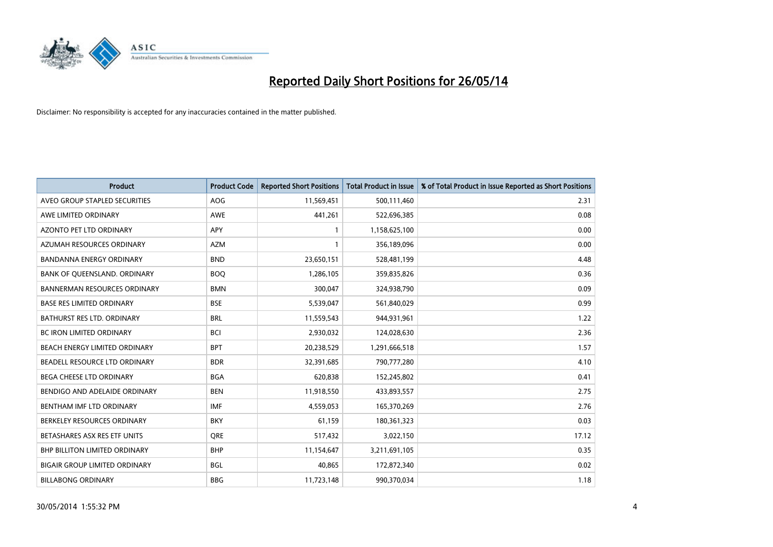

| <b>Product</b>                       | <b>Product Code</b> | <b>Reported Short Positions</b> | <b>Total Product in Issue</b> | % of Total Product in Issue Reported as Short Positions |
|--------------------------------------|---------------------|---------------------------------|-------------------------------|---------------------------------------------------------|
| AVEO GROUP STAPLED SECURITIES        | <b>AOG</b>          | 11,569,451                      | 500,111,460                   | 2.31                                                    |
| AWE LIMITED ORDINARY                 | AWE                 | 441,261                         | 522,696,385                   | 0.08                                                    |
| <b>AZONTO PET LTD ORDINARY</b>       | <b>APY</b>          | 1                               | 1,158,625,100                 | 0.00                                                    |
| AZUMAH RESOURCES ORDINARY            | <b>AZM</b>          | 1                               | 356,189,096                   | 0.00                                                    |
| <b>BANDANNA ENERGY ORDINARY</b>      | <b>BND</b>          | 23,650,151                      | 528,481,199                   | 4.48                                                    |
| BANK OF QUEENSLAND. ORDINARY         | <b>BOQ</b>          | 1,286,105                       | 359,835,826                   | 0.36                                                    |
| <b>BANNERMAN RESOURCES ORDINARY</b>  | <b>BMN</b>          | 300,047                         | 324,938,790                   | 0.09                                                    |
| <b>BASE RES LIMITED ORDINARY</b>     | <b>BSE</b>          | 5,539,047                       | 561,840,029                   | 0.99                                                    |
| BATHURST RES LTD. ORDINARY           | <b>BRL</b>          | 11,559,543                      | 944,931,961                   | 1.22                                                    |
| <b>BC IRON LIMITED ORDINARY</b>      | <b>BCI</b>          | 2,930,032                       | 124,028,630                   | 2.36                                                    |
| BEACH ENERGY LIMITED ORDINARY        | <b>BPT</b>          | 20,238,529                      | 1,291,666,518                 | 1.57                                                    |
| BEADELL RESOURCE LTD ORDINARY        | <b>BDR</b>          | 32,391,685                      | 790,777,280                   | 4.10                                                    |
| BEGA CHEESE LTD ORDINARY             | <b>BGA</b>          | 620,838                         | 152,245,802                   | 0.41                                                    |
| BENDIGO AND ADELAIDE ORDINARY        | <b>BEN</b>          | 11,918,550                      | 433,893,557                   | 2.75                                                    |
| BENTHAM IMF LTD ORDINARY             | <b>IMF</b>          | 4,559,053                       | 165,370,269                   | 2.76                                                    |
| BERKELEY RESOURCES ORDINARY          | <b>BKY</b>          | 61,159                          | 180,361,323                   | 0.03                                                    |
| BETASHARES ASX RES ETF UNITS         | <b>ORE</b>          | 517,432                         | 3,022,150                     | 17.12                                                   |
| <b>BHP BILLITON LIMITED ORDINARY</b> | <b>BHP</b>          | 11,154,647                      | 3,211,691,105                 | 0.35                                                    |
| <b>BIGAIR GROUP LIMITED ORDINARY</b> | <b>BGL</b>          | 40,865                          | 172,872,340                   | 0.02                                                    |
| <b>BILLABONG ORDINARY</b>            | <b>BBG</b>          | 11,723,148                      | 990,370,034                   | 1.18                                                    |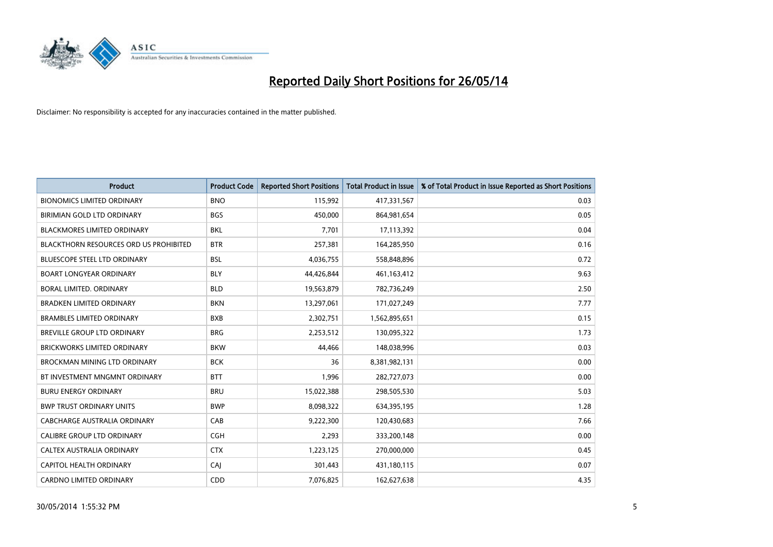

| <b>Product</b>                         | <b>Product Code</b> | <b>Reported Short Positions</b> | <b>Total Product in Issue</b> | % of Total Product in Issue Reported as Short Positions |
|----------------------------------------|---------------------|---------------------------------|-------------------------------|---------------------------------------------------------|
| <b>BIONOMICS LIMITED ORDINARY</b>      | <b>BNO</b>          | 115,992                         | 417,331,567                   | 0.03                                                    |
| BIRIMIAN GOLD LTD ORDINARY             | <b>BGS</b>          | 450,000                         | 864,981,654                   | 0.05                                                    |
| <b>BLACKMORES LIMITED ORDINARY</b>     | <b>BKL</b>          | 7.701                           | 17,113,392                    | 0.04                                                    |
| BLACKTHORN RESOURCES ORD US PROHIBITED | <b>BTR</b>          | 257,381                         | 164,285,950                   | 0.16                                                    |
| <b>BLUESCOPE STEEL LTD ORDINARY</b>    | <b>BSL</b>          | 4,036,755                       | 558,848,896                   | 0.72                                                    |
| <b>BOART LONGYEAR ORDINARY</b>         | <b>BLY</b>          | 44,426,844                      | 461,163,412                   | 9.63                                                    |
| BORAL LIMITED, ORDINARY                | <b>BLD</b>          | 19,563,879                      | 782,736,249                   | 2.50                                                    |
| <b>BRADKEN LIMITED ORDINARY</b>        | <b>BKN</b>          | 13,297,061                      | 171,027,249                   | 7.77                                                    |
| <b>BRAMBLES LIMITED ORDINARY</b>       | <b>BXB</b>          | 2,302,751                       | 1,562,895,651                 | 0.15                                                    |
| <b>BREVILLE GROUP LTD ORDINARY</b>     | <b>BRG</b>          | 2,253,512                       | 130,095,322                   | 1.73                                                    |
| BRICKWORKS LIMITED ORDINARY            | <b>BKW</b>          | 44,466                          | 148,038,996                   | 0.03                                                    |
| <b>BROCKMAN MINING LTD ORDINARY</b>    | <b>BCK</b>          | 36                              | 8,381,982,131                 | 0.00                                                    |
| BT INVESTMENT MNGMNT ORDINARY          | <b>BTT</b>          | 1,996                           | 282,727,073                   | 0.00                                                    |
| <b>BURU ENERGY ORDINARY</b>            | <b>BRU</b>          | 15,022,388                      | 298,505,530                   | 5.03                                                    |
| <b>BWP TRUST ORDINARY UNITS</b>        | <b>BWP</b>          | 8,098,322                       | 634,395,195                   | 1.28                                                    |
| CABCHARGE AUSTRALIA ORDINARY           | CAB                 | 9,222,300                       | 120,430,683                   | 7.66                                                    |
| CALIBRE GROUP LTD ORDINARY             | <b>CGH</b>          | 2,293                           | 333,200,148                   | 0.00                                                    |
| CALTEX AUSTRALIA ORDINARY              | <b>CTX</b>          | 1,223,125                       | 270,000,000                   | 0.45                                                    |
| <b>CAPITOL HEALTH ORDINARY</b>         | CAJ                 | 301,443                         | 431,180,115                   | 0.07                                                    |
| <b>CARDNO LIMITED ORDINARY</b>         | CDD                 | 7,076,825                       | 162,627,638                   | 4.35                                                    |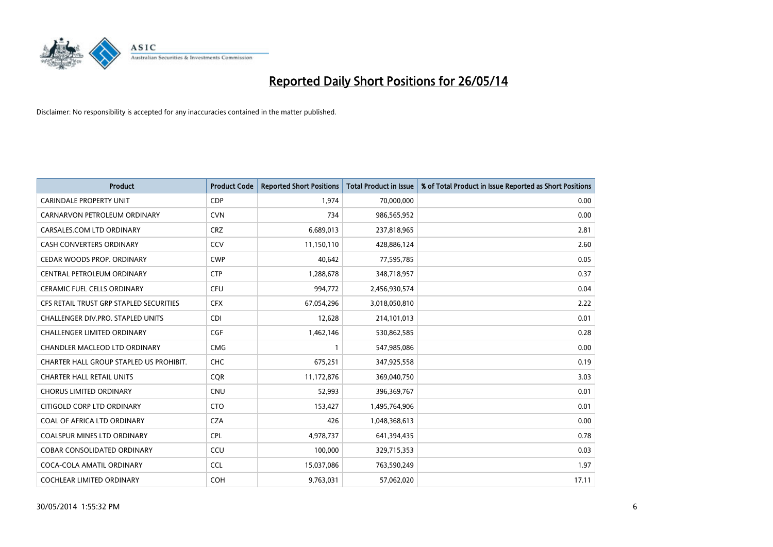

| <b>Product</b>                          | <b>Product Code</b> | <b>Reported Short Positions</b> | <b>Total Product in Issue</b> | % of Total Product in Issue Reported as Short Positions |
|-----------------------------------------|---------------------|---------------------------------|-------------------------------|---------------------------------------------------------|
| <b>CARINDALE PROPERTY UNIT</b>          | <b>CDP</b>          | 1,974                           | 70,000,000                    | 0.00                                                    |
| CARNARVON PETROLEUM ORDINARY            | <b>CVN</b>          | 734                             | 986,565,952                   | 0.00                                                    |
| CARSALES.COM LTD ORDINARY               | <b>CRZ</b>          | 6,689,013                       | 237,818,965                   | 2.81                                                    |
| CASH CONVERTERS ORDINARY                | CCV                 | 11,150,110                      | 428,886,124                   | 2.60                                                    |
| CEDAR WOODS PROP. ORDINARY              | <b>CWP</b>          | 40,642                          | 77,595,785                    | 0.05                                                    |
| CENTRAL PETROLEUM ORDINARY              | <b>CTP</b>          | 1,288,678                       | 348,718,957                   | 0.37                                                    |
| CERAMIC FUEL CELLS ORDINARY             | <b>CFU</b>          | 994,772                         | 2,456,930,574                 | 0.04                                                    |
| CFS RETAIL TRUST GRP STAPLED SECURITIES | <b>CFX</b>          | 67,054,296                      | 3,018,050,810                 | 2.22                                                    |
| CHALLENGER DIV.PRO. STAPLED UNITS       | <b>CDI</b>          | 12,628                          | 214,101,013                   | 0.01                                                    |
| <b>CHALLENGER LIMITED ORDINARY</b>      | <b>CGF</b>          | 1,462,146                       | 530,862,585                   | 0.28                                                    |
| CHANDLER MACLEOD LTD ORDINARY           | <b>CMG</b>          | 1                               | 547,985,086                   | 0.00                                                    |
| CHARTER HALL GROUP STAPLED US PROHIBIT. | <b>CHC</b>          | 675,251                         | 347,925,558                   | 0.19                                                    |
| <b>CHARTER HALL RETAIL UNITS</b>        | <b>CQR</b>          | 11,172,876                      | 369,040,750                   | 3.03                                                    |
| <b>CHORUS LIMITED ORDINARY</b>          | <b>CNU</b>          | 52,993                          | 396,369,767                   | 0.01                                                    |
| CITIGOLD CORP LTD ORDINARY              | <b>CTO</b>          | 153,427                         | 1,495,764,906                 | 0.01                                                    |
| COAL OF AFRICA LTD ORDINARY             | <b>CZA</b>          | 426                             | 1,048,368,613                 | 0.00                                                    |
| <b>COALSPUR MINES LTD ORDINARY</b>      | <b>CPL</b>          | 4,978,737                       | 641,394,435                   | 0.78                                                    |
| COBAR CONSOLIDATED ORDINARY             | CCU                 | 100,000                         | 329,715,353                   | 0.03                                                    |
| COCA-COLA AMATIL ORDINARY               | <b>CCL</b>          | 15,037,086                      | 763,590,249                   | 1.97                                                    |
| COCHLEAR LIMITED ORDINARY               | <b>COH</b>          | 9,763,031                       | 57,062,020                    | 17.11                                                   |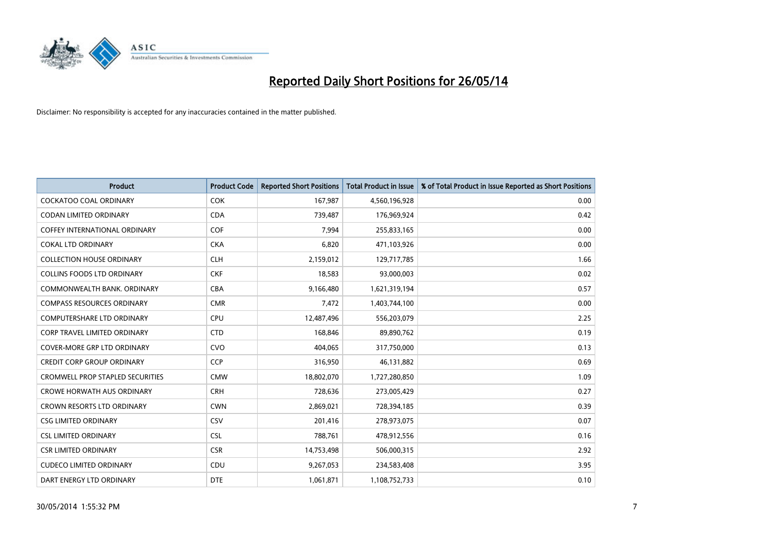

| <b>Product</b>                          | <b>Product Code</b> | <b>Reported Short Positions</b> | <b>Total Product in Issue</b> | % of Total Product in Issue Reported as Short Positions |
|-----------------------------------------|---------------------|---------------------------------|-------------------------------|---------------------------------------------------------|
| <b>COCKATOO COAL ORDINARY</b>           | <b>COK</b>          | 167,987                         | 4,560,196,928                 | 0.00                                                    |
| CODAN LIMITED ORDINARY                  | <b>CDA</b>          | 739,487                         | 176,969,924                   | 0.42                                                    |
| <b>COFFEY INTERNATIONAL ORDINARY</b>    | <b>COF</b>          | 7,994                           | 255,833,165                   | 0.00                                                    |
| <b>COKAL LTD ORDINARY</b>               | <b>CKA</b>          | 6,820                           | 471,103,926                   | 0.00                                                    |
| <b>COLLECTION HOUSE ORDINARY</b>        | <b>CLH</b>          | 2,159,012                       | 129,717,785                   | 1.66                                                    |
| <b>COLLINS FOODS LTD ORDINARY</b>       | <b>CKF</b>          | 18,583                          | 93,000,003                    | 0.02                                                    |
| COMMONWEALTH BANK, ORDINARY             | <b>CBA</b>          | 9,166,480                       | 1,621,319,194                 | 0.57                                                    |
| <b>COMPASS RESOURCES ORDINARY</b>       | <b>CMR</b>          | 7,472                           | 1,403,744,100                 | 0.00                                                    |
| <b>COMPUTERSHARE LTD ORDINARY</b>       | <b>CPU</b>          | 12,487,496                      | 556,203,079                   | 2.25                                                    |
| <b>CORP TRAVEL LIMITED ORDINARY</b>     | <b>CTD</b>          | 168,846                         | 89,890,762                    | 0.19                                                    |
| COVER-MORE GRP LTD ORDINARY             | <b>CVO</b>          | 404,065                         | 317,750,000                   | 0.13                                                    |
| <b>CREDIT CORP GROUP ORDINARY</b>       | <b>CCP</b>          | 316,950                         | 46,131,882                    | 0.69                                                    |
| <b>CROMWELL PROP STAPLED SECURITIES</b> | <b>CMW</b>          | 18,802,070                      | 1,727,280,850                 | 1.09                                                    |
| CROWE HORWATH AUS ORDINARY              | <b>CRH</b>          | 728,636                         | 273,005,429                   | 0.27                                                    |
| <b>CROWN RESORTS LTD ORDINARY</b>       | <b>CWN</b>          | 2,869,021                       | 728,394,185                   | 0.39                                                    |
| <b>CSG LIMITED ORDINARY</b>             | CSV                 | 201,416                         | 278,973,075                   | 0.07                                                    |
| <b>CSL LIMITED ORDINARY</b>             | <b>CSL</b>          | 788,761                         | 478,912,556                   | 0.16                                                    |
| <b>CSR LIMITED ORDINARY</b>             | <b>CSR</b>          | 14,753,498                      | 506,000,315                   | 2.92                                                    |
| <b>CUDECO LIMITED ORDINARY</b>          | CDU                 | 9,267,053                       | 234,583,408                   | 3.95                                                    |
| DART ENERGY LTD ORDINARY                | <b>DTE</b>          | 1,061,871                       | 1,108,752,733                 | 0.10                                                    |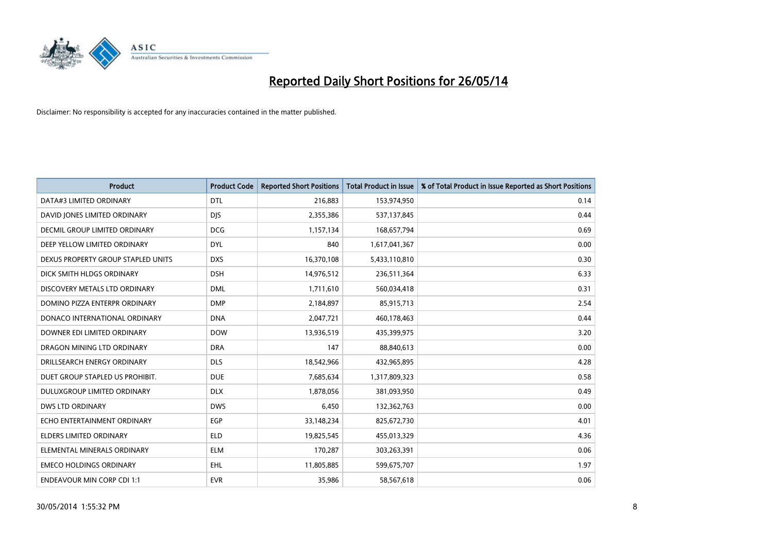

| <b>Product</b>                     | <b>Product Code</b> | <b>Reported Short Positions</b> | <b>Total Product in Issue</b> | % of Total Product in Issue Reported as Short Positions |
|------------------------------------|---------------------|---------------------------------|-------------------------------|---------------------------------------------------------|
| DATA#3 LIMITED ORDINARY            | <b>DTL</b>          | 216,883                         | 153,974,950                   | 0.14                                                    |
| DAVID JONES LIMITED ORDINARY       | <b>DIS</b>          | 2,355,386                       | 537,137,845                   | 0.44                                                    |
| DECMIL GROUP LIMITED ORDINARY      | <b>DCG</b>          | 1,157,134                       | 168,657,794                   | 0.69                                                    |
| DEEP YELLOW LIMITED ORDINARY       | <b>DYL</b>          | 840                             | 1,617,041,367                 | 0.00                                                    |
| DEXUS PROPERTY GROUP STAPLED UNITS | <b>DXS</b>          | 16,370,108                      | 5,433,110,810                 | 0.30                                                    |
| DICK SMITH HLDGS ORDINARY          | <b>DSH</b>          | 14,976,512                      | 236,511,364                   | 6.33                                                    |
| DISCOVERY METALS LTD ORDINARY      | <b>DML</b>          | 1,711,610                       | 560,034,418                   | 0.31                                                    |
| DOMINO PIZZA ENTERPR ORDINARY      | <b>DMP</b>          | 2,184,897                       | 85,915,713                    | 2.54                                                    |
| DONACO INTERNATIONAL ORDINARY      | <b>DNA</b>          | 2,047,721                       | 460,178,463                   | 0.44                                                    |
| DOWNER EDI LIMITED ORDINARY        | <b>DOW</b>          | 13,936,519                      | 435,399,975                   | 3.20                                                    |
| DRAGON MINING LTD ORDINARY         | <b>DRA</b>          | 147                             | 88,840,613                    | 0.00                                                    |
| DRILLSEARCH ENERGY ORDINARY        | <b>DLS</b>          | 18,542,966                      | 432,965,895                   | 4.28                                                    |
| DUET GROUP STAPLED US PROHIBIT.    | <b>DUE</b>          | 7,685,634                       | 1,317,809,323                 | 0.58                                                    |
| DULUXGROUP LIMITED ORDINARY        | <b>DLX</b>          | 1,878,056                       | 381,093,950                   | 0.49                                                    |
| <b>DWS LTD ORDINARY</b>            | <b>DWS</b>          | 6,450                           | 132,362,763                   | 0.00                                                    |
| ECHO ENTERTAINMENT ORDINARY        | EGP                 | 33,148,234                      | 825,672,730                   | 4.01                                                    |
| ELDERS LIMITED ORDINARY            | <b>ELD</b>          | 19,825,545                      | 455,013,329                   | 4.36                                                    |
| ELEMENTAL MINERALS ORDINARY        | <b>ELM</b>          | 170,287                         | 303,263,391                   | 0.06                                                    |
| <b>EMECO HOLDINGS ORDINARY</b>     | <b>EHL</b>          | 11,805,885                      | 599,675,707                   | 1.97                                                    |
| <b>ENDEAVOUR MIN CORP CDI 1:1</b>  | <b>EVR</b>          | 35,986                          | 58,567,618                    | 0.06                                                    |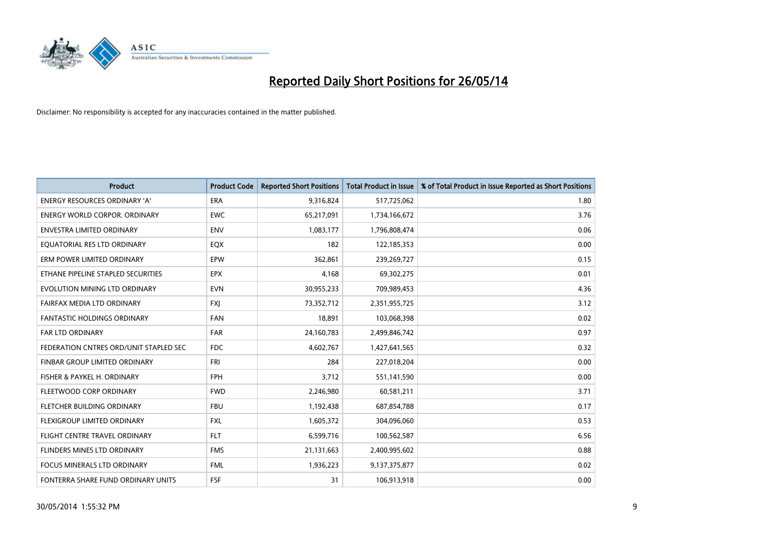

| <b>Product</b>                         | <b>Product Code</b> | <b>Reported Short Positions</b> | <b>Total Product in Issue</b> | % of Total Product in Issue Reported as Short Positions |
|----------------------------------------|---------------------|---------------------------------|-------------------------------|---------------------------------------------------------|
| <b>ENERGY RESOURCES ORDINARY 'A'</b>   | <b>ERA</b>          | 9,316,824                       | 517,725,062                   | 1.80                                                    |
| <b>ENERGY WORLD CORPOR. ORDINARY</b>   | <b>EWC</b>          | 65,217,091                      | 1,734,166,672                 | 3.76                                                    |
| <b>ENVESTRA LIMITED ORDINARY</b>       | <b>ENV</b>          | 1,083,177                       | 1,796,808,474                 | 0.06                                                    |
| EQUATORIAL RES LTD ORDINARY            | EQX                 | 182                             | 122,185,353                   | 0.00                                                    |
| ERM POWER LIMITED ORDINARY             | EPW                 | 362,861                         | 239,269,727                   | 0.15                                                    |
| ETHANE PIPELINE STAPLED SECURITIES     | <b>EPX</b>          | 4,168                           | 69,302,275                    | 0.01                                                    |
| EVOLUTION MINING LTD ORDINARY          | <b>EVN</b>          | 30,955,233                      | 709,989,453                   | 4.36                                                    |
| FAIRFAX MEDIA LTD ORDINARY             | <b>FXI</b>          | 73,352,712                      | 2,351,955,725                 | 3.12                                                    |
| <b>FANTASTIC HOLDINGS ORDINARY</b>     | <b>FAN</b>          | 18,891                          | 103,068,398                   | 0.02                                                    |
| <b>FAR LTD ORDINARY</b>                | <b>FAR</b>          | 24,160,783                      | 2,499,846,742                 | 0.97                                                    |
| FEDERATION CNTRES ORD/UNIT STAPLED SEC | <b>FDC</b>          | 4,602,767                       | 1,427,641,565                 | 0.32                                                    |
| <b>FINBAR GROUP LIMITED ORDINARY</b>   | <b>FRI</b>          | 284                             | 227,018,204                   | 0.00                                                    |
| FISHER & PAYKEL H. ORDINARY            | <b>FPH</b>          | 3,712                           | 551,141,590                   | 0.00                                                    |
| FLEETWOOD CORP ORDINARY                | <b>FWD</b>          | 2,246,980                       | 60,581,211                    | 3.71                                                    |
| FLETCHER BUILDING ORDINARY             | <b>FBU</b>          | 1,192,438                       | 687,854,788                   | 0.17                                                    |
| FLEXIGROUP LIMITED ORDINARY            | <b>FXL</b>          | 1,605,372                       | 304,096,060                   | 0.53                                                    |
| FLIGHT CENTRE TRAVEL ORDINARY          | <b>FLT</b>          | 6,599,716                       | 100,562,587                   | 6.56                                                    |
| FLINDERS MINES LTD ORDINARY            | <b>FMS</b>          | 21,131,663                      | 2,400,995,602                 | 0.88                                                    |
| <b>FOCUS MINERALS LTD ORDINARY</b>     | <b>FML</b>          | 1,936,223                       | 9,137,375,877                 | 0.02                                                    |
| FONTERRA SHARE FUND ORDINARY UNITS     | <b>FSF</b>          | 31                              | 106,913,918                   | 0.00                                                    |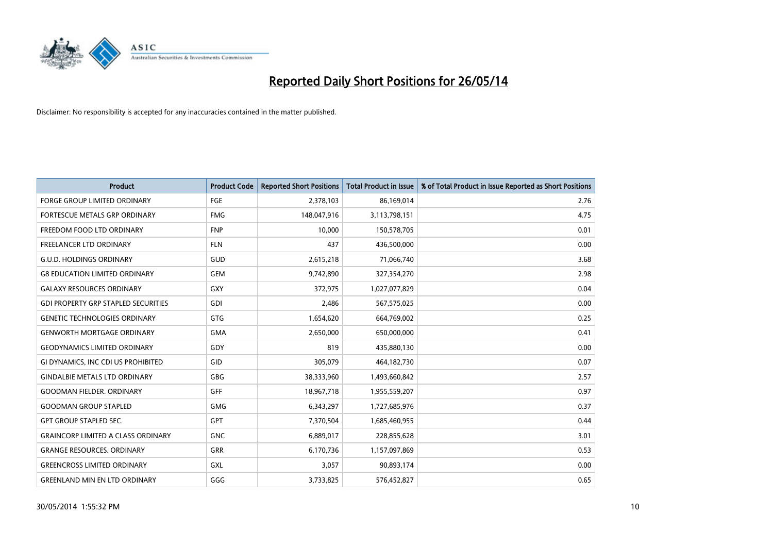

| <b>Product</b>                             | <b>Product Code</b> | <b>Reported Short Positions</b> | <b>Total Product in Issue</b> | % of Total Product in Issue Reported as Short Positions |
|--------------------------------------------|---------------------|---------------------------------|-------------------------------|---------------------------------------------------------|
| <b>FORGE GROUP LIMITED ORDINARY</b>        | <b>FGE</b>          | 2,378,103                       | 86,169,014                    | 2.76                                                    |
| FORTESCUE METALS GRP ORDINARY              | <b>FMG</b>          | 148,047,916                     | 3,113,798,151                 | 4.75                                                    |
| FREEDOM FOOD LTD ORDINARY                  | <b>FNP</b>          | 10,000                          | 150,578,705                   | 0.01                                                    |
| <b>FREELANCER LTD ORDINARY</b>             | <b>FLN</b>          | 437                             | 436,500,000                   | 0.00                                                    |
| <b>G.U.D. HOLDINGS ORDINARY</b>            | GUD                 | 2,615,218                       | 71,066,740                    | 3.68                                                    |
| <b>G8 EDUCATION LIMITED ORDINARY</b>       | <b>GEM</b>          | 9,742,890                       | 327,354,270                   | 2.98                                                    |
| <b>GALAXY RESOURCES ORDINARY</b>           | GXY                 | 372,975                         | 1,027,077,829                 | 0.04                                                    |
| <b>GDI PROPERTY GRP STAPLED SECURITIES</b> | <b>GDI</b>          | 2,486                           | 567,575,025                   | 0.00                                                    |
| <b>GENETIC TECHNOLOGIES ORDINARY</b>       | <b>GTG</b>          | 1,654,620                       | 664,769,002                   | 0.25                                                    |
| <b>GENWORTH MORTGAGE ORDINARY</b>          | <b>GMA</b>          | 2,650,000                       | 650,000,000                   | 0.41                                                    |
| <b>GEODYNAMICS LIMITED ORDINARY</b>        | GDY                 | 819                             | 435,880,130                   | 0.00                                                    |
| GI DYNAMICS, INC CDI US PROHIBITED         | GID                 | 305,079                         | 464,182,730                   | 0.07                                                    |
| <b>GINDALBIE METALS LTD ORDINARY</b>       | GBG                 | 38,333,960                      | 1,493,660,842                 | 2.57                                                    |
| <b>GOODMAN FIELDER, ORDINARY</b>           | <b>GFF</b>          | 18,967,718                      | 1,955,559,207                 | 0.97                                                    |
| <b>GOODMAN GROUP STAPLED</b>               | <b>GMG</b>          | 6,343,297                       | 1,727,685,976                 | 0.37                                                    |
| <b>GPT GROUP STAPLED SEC.</b>              | GPT                 | 7,370,504                       | 1,685,460,955                 | 0.44                                                    |
| <b>GRAINCORP LIMITED A CLASS ORDINARY</b>  | <b>GNC</b>          | 6,889,017                       | 228,855,628                   | 3.01                                                    |
| <b>GRANGE RESOURCES, ORDINARY</b>          | GRR                 | 6,170,736                       | 1,157,097,869                 | 0.53                                                    |
| <b>GREENCROSS LIMITED ORDINARY</b>         | <b>GXL</b>          | 3,057                           | 90,893,174                    | 0.00                                                    |
| <b>GREENLAND MIN EN LTD ORDINARY</b>       | GGG                 | 3,733,825                       | 576,452,827                   | 0.65                                                    |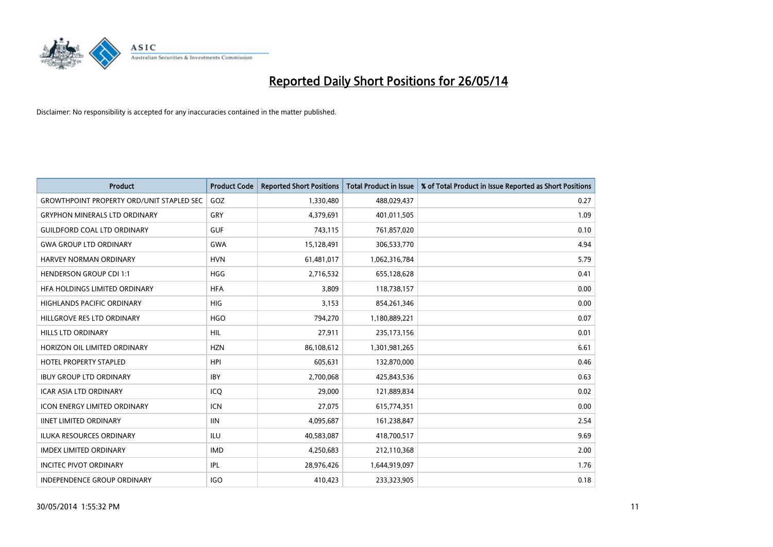

| <b>Product</b>                                   | <b>Product Code</b> | <b>Reported Short Positions</b> | <b>Total Product in Issue</b> | % of Total Product in Issue Reported as Short Positions |
|--------------------------------------------------|---------------------|---------------------------------|-------------------------------|---------------------------------------------------------|
| <b>GROWTHPOINT PROPERTY ORD/UNIT STAPLED SEC</b> | GOZ                 | 1,330,480                       | 488,029,437                   | 0.27                                                    |
| <b>GRYPHON MINERALS LTD ORDINARY</b>             | GRY                 | 4,379,691                       | 401,011,505                   | 1.09                                                    |
| <b>GUILDFORD COAL LTD ORDINARY</b>               | <b>GUF</b>          | 743,115                         | 761,857,020                   | 0.10                                                    |
| <b>GWA GROUP LTD ORDINARY</b>                    | <b>GWA</b>          | 15,128,491                      | 306,533,770                   | 4.94                                                    |
| HARVEY NORMAN ORDINARY                           | <b>HVN</b>          | 61,481,017                      | 1,062,316,784                 | 5.79                                                    |
| <b>HENDERSON GROUP CDI 1:1</b>                   | <b>HGG</b>          | 2,716,532                       | 655,128,628                   | 0.41                                                    |
| HFA HOLDINGS LIMITED ORDINARY                    | <b>HFA</b>          | 3,809                           | 118,738,157                   | 0.00                                                    |
| <b>HIGHLANDS PACIFIC ORDINARY</b>                | <b>HIG</b>          | 3,153                           | 854,261,346                   | 0.00                                                    |
| HILLGROVE RES LTD ORDINARY                       | <b>HGO</b>          | 794,270                         | 1,180,889,221                 | 0.07                                                    |
| <b>HILLS LTD ORDINARY</b>                        | <b>HIL</b>          | 27,911                          | 235, 173, 156                 | 0.01                                                    |
| HORIZON OIL LIMITED ORDINARY                     | <b>HZN</b>          | 86,108,612                      | 1,301,981,265                 | 6.61                                                    |
| <b>HOTEL PROPERTY STAPLED</b>                    | <b>HPI</b>          | 605,631                         | 132,870,000                   | 0.46                                                    |
| <b>IBUY GROUP LTD ORDINARY</b>                   | <b>IBY</b>          | 2,700,068                       | 425,843,536                   | 0.63                                                    |
| <b>ICAR ASIA LTD ORDINARY</b>                    | ICQ                 | 29,000                          | 121,889,834                   | 0.02                                                    |
| <b>ICON ENERGY LIMITED ORDINARY</b>              | <b>ICN</b>          | 27,075                          | 615,774,351                   | 0.00                                                    |
| <b>IINET LIMITED ORDINARY</b>                    | <b>IIN</b>          | 4,095,687                       | 161,238,847                   | 2.54                                                    |
| <b>ILUKA RESOURCES ORDINARY</b>                  | <b>ILU</b>          | 40,583,087                      | 418,700,517                   | 9.69                                                    |
| <b>IMDEX LIMITED ORDINARY</b>                    | <b>IMD</b>          | 4,250,683                       | 212,110,368                   | 2.00                                                    |
| <b>INCITEC PIVOT ORDINARY</b>                    | IPL                 | 28,976,426                      | 1,644,919,097                 | 1.76                                                    |
| INDEPENDENCE GROUP ORDINARY                      | <b>IGO</b>          | 410,423                         | 233,323,905                   | 0.18                                                    |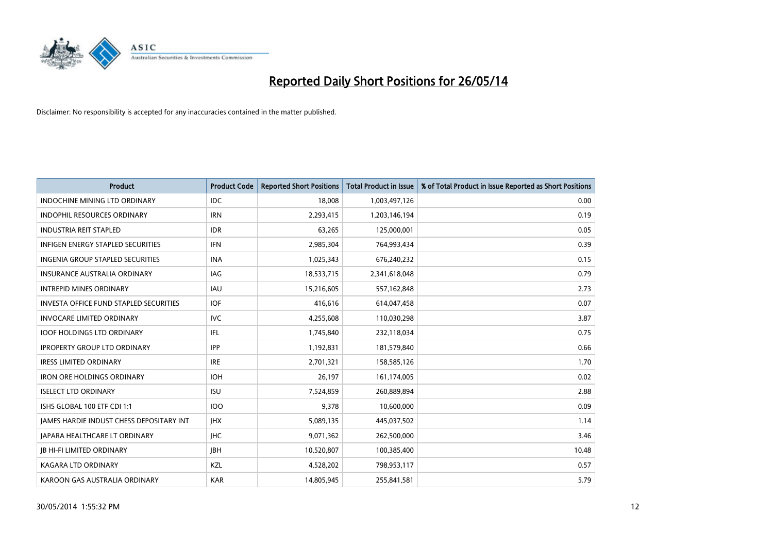

| <b>Product</b>                                | <b>Product Code</b> | <b>Reported Short Positions</b> | <b>Total Product in Issue</b> | % of Total Product in Issue Reported as Short Positions |
|-----------------------------------------------|---------------------|---------------------------------|-------------------------------|---------------------------------------------------------|
| <b>INDOCHINE MINING LTD ORDINARY</b>          | <b>IDC</b>          | 18,008                          | 1,003,497,126                 | 0.00                                                    |
| INDOPHIL RESOURCES ORDINARY                   | <b>IRN</b>          | 2,293,415                       | 1,203,146,194                 | 0.19                                                    |
| <b>INDUSTRIA REIT STAPLED</b>                 | <b>IDR</b>          | 63,265                          | 125,000,001                   | 0.05                                                    |
| INFIGEN ENERGY STAPLED SECURITIES             | <b>IFN</b>          | 2,985,304                       | 764,993,434                   | 0.39                                                    |
| <b>INGENIA GROUP STAPLED SECURITIES</b>       | <b>INA</b>          | 1,025,343                       | 676,240,232                   | 0.15                                                    |
| <b>INSURANCE AUSTRALIA ORDINARY</b>           | IAG                 | 18,533,715                      | 2,341,618,048                 | 0.79                                                    |
| <b>INTREPID MINES ORDINARY</b>                | IAU                 | 15,216,605                      | 557,162,848                   | 2.73                                                    |
| <b>INVESTA OFFICE FUND STAPLED SECURITIES</b> | <b>IOF</b>          | 416,616                         | 614,047,458                   | 0.07                                                    |
| <b>INVOCARE LIMITED ORDINARY</b>              | <b>IVC</b>          | 4,255,608                       | 110,030,298                   | 3.87                                                    |
| <b>IOOF HOLDINGS LTD ORDINARY</b>             | IFL                 | 1,745,840                       | 232,118,034                   | 0.75                                                    |
| <b>IPROPERTY GROUP LTD ORDINARY</b>           | <b>IPP</b>          | 1,192,831                       | 181,579,840                   | 0.66                                                    |
| <b>IRESS LIMITED ORDINARY</b>                 | <b>IRE</b>          | 2,701,321                       | 158,585,126                   | 1.70                                                    |
| <b>IRON ORE HOLDINGS ORDINARY</b>             | <b>IOH</b>          | 26,197                          | 161,174,005                   | 0.02                                                    |
| <b>ISELECT LTD ORDINARY</b>                   | <b>ISU</b>          | 7,524,859                       | 260,889,894                   | 2.88                                                    |
| ISHS GLOBAL 100 ETF CDI 1:1                   | <b>IOO</b>          | 9,378                           | 10,600,000                    | 0.09                                                    |
| JAMES HARDIE INDUST CHESS DEPOSITARY INT      | <b>IHX</b>          | 5,089,135                       | 445,037,502                   | 1.14                                                    |
| <b>JAPARA HEALTHCARE LT ORDINARY</b>          | <b>IHC</b>          | 9,071,362                       | 262,500,000                   | 3.46                                                    |
| <b>JB HI-FI LIMITED ORDINARY</b>              | <b>JBH</b>          | 10,520,807                      | 100,385,400                   | 10.48                                                   |
| <b>KAGARA LTD ORDINARY</b>                    | KZL                 | 4,528,202                       | 798,953,117                   | 0.57                                                    |
| KAROON GAS AUSTRALIA ORDINARY                 | <b>KAR</b>          | 14,805,945                      | 255,841,581                   | 5.79                                                    |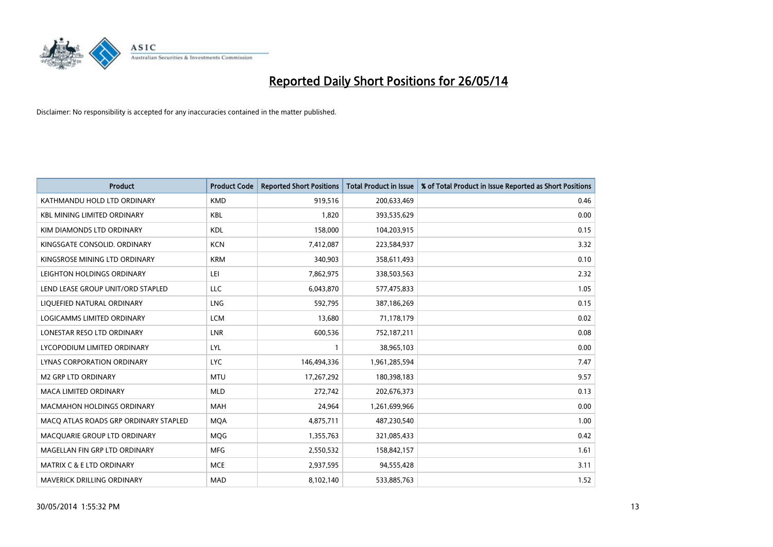

| <b>Product</b>                        | <b>Product Code</b> | <b>Reported Short Positions</b> | <b>Total Product in Issue</b> | % of Total Product in Issue Reported as Short Positions |
|---------------------------------------|---------------------|---------------------------------|-------------------------------|---------------------------------------------------------|
| KATHMANDU HOLD LTD ORDINARY           | <b>KMD</b>          | 919,516                         | 200,633,469                   | 0.46                                                    |
| <b>KBL MINING LIMITED ORDINARY</b>    | <b>KBL</b>          | 1,820                           | 393,535,629                   | 0.00                                                    |
| KIM DIAMONDS LTD ORDINARY             | <b>KDL</b>          | 158,000                         | 104,203,915                   | 0.15                                                    |
| KINGSGATE CONSOLID. ORDINARY          | <b>KCN</b>          | 7,412,087                       | 223,584,937                   | 3.32                                                    |
| KINGSROSE MINING LTD ORDINARY         | <b>KRM</b>          | 340,903                         | 358,611,493                   | 0.10                                                    |
| LEIGHTON HOLDINGS ORDINARY            | LEI                 | 7,862,975                       | 338,503,563                   | 2.32                                                    |
| LEND LEASE GROUP UNIT/ORD STAPLED     | <b>LLC</b>          | 6,043,870                       | 577,475,833                   | 1.05                                                    |
| LIQUEFIED NATURAL ORDINARY            | <b>LNG</b>          | 592,795                         | 387,186,269                   | 0.15                                                    |
| <b>LOGICAMMS LIMITED ORDINARY</b>     | <b>LCM</b>          | 13,680                          | 71,178,179                    | 0.02                                                    |
| LONESTAR RESO LTD ORDINARY            | <b>LNR</b>          | 600,536                         | 752,187,211                   | 0.08                                                    |
| LYCOPODIUM LIMITED ORDINARY           | <b>LYL</b>          |                                 | 38,965,103                    | 0.00                                                    |
| <b>LYNAS CORPORATION ORDINARY</b>     | <b>LYC</b>          | 146,494,336                     | 1,961,285,594                 | 7.47                                                    |
| <b>M2 GRP LTD ORDINARY</b>            | <b>MTU</b>          | 17,267,292                      | 180,398,183                   | 9.57                                                    |
| <b>MACA LIMITED ORDINARY</b>          | <b>MLD</b>          | 272,742                         | 202,676,373                   | 0.13                                                    |
| <b>MACMAHON HOLDINGS ORDINARY</b>     | <b>MAH</b>          | 24,964                          | 1,261,699,966                 | 0.00                                                    |
| MACO ATLAS ROADS GRP ORDINARY STAPLED | <b>MOA</b>          | 4,875,711                       | 487,230,540                   | 1.00                                                    |
| MACQUARIE GROUP LTD ORDINARY          | <b>MQG</b>          | 1,355,763                       | 321,085,433                   | 0.42                                                    |
| MAGELLAN FIN GRP LTD ORDINARY         | <b>MFG</b>          | 2,550,532                       | 158,842,157                   | 1.61                                                    |
| <b>MATRIX C &amp; E LTD ORDINARY</b>  | <b>MCE</b>          | 2,937,595                       | 94,555,428                    | 3.11                                                    |
| MAVERICK DRILLING ORDINARY            | <b>MAD</b>          | 8,102,140                       | 533,885,763                   | 1.52                                                    |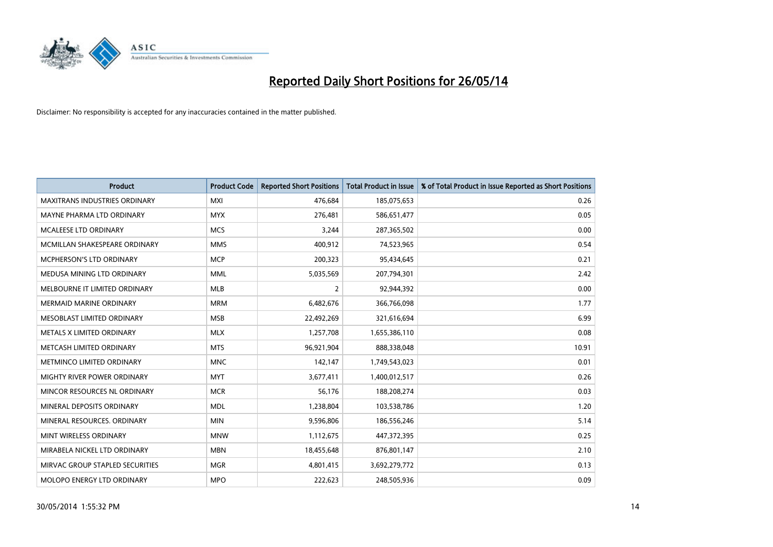

| <b>Product</b>                       | <b>Product Code</b> | <b>Reported Short Positions</b> | <b>Total Product in Issue</b> | % of Total Product in Issue Reported as Short Positions |
|--------------------------------------|---------------------|---------------------------------|-------------------------------|---------------------------------------------------------|
| <b>MAXITRANS INDUSTRIES ORDINARY</b> | <b>MXI</b>          | 476,684                         | 185,075,653                   | 0.26                                                    |
| MAYNE PHARMA LTD ORDINARY            | <b>MYX</b>          | 276,481                         | 586,651,477                   | 0.05                                                    |
| <b>MCALEESE LTD ORDINARY</b>         | <b>MCS</b>          | 3,244                           | 287,365,502                   | 0.00                                                    |
| MCMILLAN SHAKESPEARE ORDINARY        | <b>MMS</b>          | 400,912                         | 74,523,965                    | 0.54                                                    |
| <b>MCPHERSON'S LTD ORDINARY</b>      | <b>MCP</b>          | 200,323                         | 95,434,645                    | 0.21                                                    |
| MEDUSA MINING LTD ORDINARY           | <b>MML</b>          | 5,035,569                       | 207,794,301                   | 2.42                                                    |
| MELBOURNE IT LIMITED ORDINARY        | <b>MLB</b>          | $\overline{2}$                  | 92,944,392                    | 0.00                                                    |
| <b>MERMAID MARINE ORDINARY</b>       | <b>MRM</b>          | 6,482,676                       | 366,766,098                   | 1.77                                                    |
| MESOBLAST LIMITED ORDINARY           | <b>MSB</b>          | 22,492,269                      | 321,616,694                   | 6.99                                                    |
| METALS X LIMITED ORDINARY            | <b>MLX</b>          | 1,257,708                       | 1,655,386,110                 | 0.08                                                    |
| METCASH LIMITED ORDINARY             | <b>MTS</b>          | 96,921,904                      | 888,338,048                   | 10.91                                                   |
| METMINCO LIMITED ORDINARY            | <b>MNC</b>          | 142,147                         | 1,749,543,023                 | 0.01                                                    |
| MIGHTY RIVER POWER ORDINARY          | <b>MYT</b>          | 3,677,411                       | 1,400,012,517                 | 0.26                                                    |
| MINCOR RESOURCES NL ORDINARY         | <b>MCR</b>          | 56,176                          | 188,208,274                   | 0.03                                                    |
| MINERAL DEPOSITS ORDINARY            | <b>MDL</b>          | 1,238,804                       | 103,538,786                   | 1.20                                                    |
| MINERAL RESOURCES. ORDINARY          | <b>MIN</b>          | 9,596,806                       | 186,556,246                   | 5.14                                                    |
| MINT WIRELESS ORDINARY               | <b>MNW</b>          | 1,112,675                       | 447,372,395                   | 0.25                                                    |
| MIRABELA NICKEL LTD ORDINARY         | <b>MBN</b>          | 18,455,648                      | 876,801,147                   | 2.10                                                    |
| MIRVAC GROUP STAPLED SECURITIES      | <b>MGR</b>          | 4,801,415                       | 3,692,279,772                 | 0.13                                                    |
| MOLOPO ENERGY LTD ORDINARY           | <b>MPO</b>          | 222,623                         | 248,505,936                   | 0.09                                                    |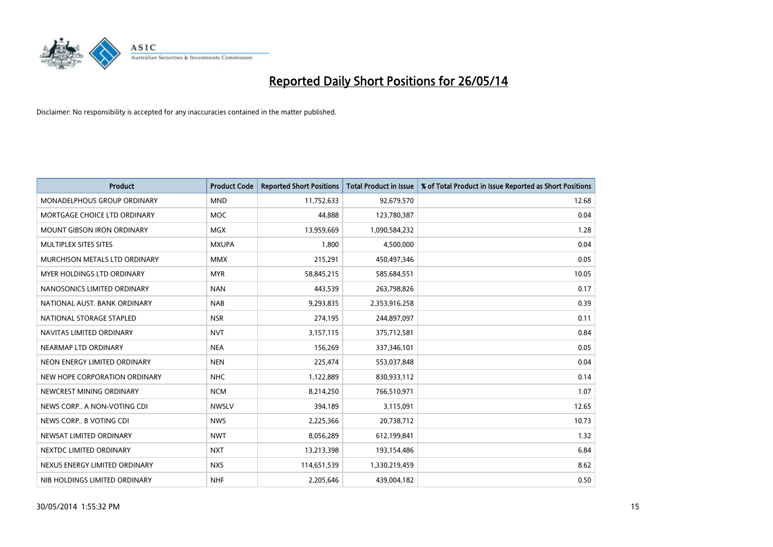

| <b>Product</b>                    | <b>Product Code</b> | <b>Reported Short Positions</b> | <b>Total Product in Issue</b> | % of Total Product in Issue Reported as Short Positions |
|-----------------------------------|---------------------|---------------------------------|-------------------------------|---------------------------------------------------------|
| MONADELPHOUS GROUP ORDINARY       | <b>MND</b>          | 11,752,633                      | 92,679,570                    | 12.68                                                   |
| MORTGAGE CHOICE LTD ORDINARY      | <b>MOC</b>          | 44,888                          | 123,780,387                   | 0.04                                                    |
| <b>MOUNT GIBSON IRON ORDINARY</b> | <b>MGX</b>          | 13,959,669                      | 1,090,584,232                 | 1.28                                                    |
| MULTIPLEX SITES SITES             | <b>MXUPA</b>        | 1.800                           | 4,500,000                     | 0.04                                                    |
| MURCHISON METALS LTD ORDINARY     | <b>MMX</b>          | 215,291                         | 450,497,346                   | 0.05                                                    |
| <b>MYER HOLDINGS LTD ORDINARY</b> | <b>MYR</b>          | 58,845,215                      | 585,684,551                   | 10.05                                                   |
| NANOSONICS LIMITED ORDINARY       | <b>NAN</b>          | 443,539                         | 263,798,826                   | 0.17                                                    |
| NATIONAL AUST. BANK ORDINARY      | <b>NAB</b>          | 9,293,835                       | 2,353,916,258                 | 0.39                                                    |
| NATIONAL STORAGE STAPLED          | <b>NSR</b>          | 274,195                         | 244,897,097                   | 0.11                                                    |
| NAVITAS LIMITED ORDINARY          | <b>NVT</b>          | 3,157,115                       | 375,712,581                   | 0.84                                                    |
| NEARMAP LTD ORDINARY              | <b>NEA</b>          | 156,269                         | 337,346,101                   | 0.05                                                    |
| NEON ENERGY LIMITED ORDINARY      | <b>NEN</b>          | 225,474                         | 553,037,848                   | 0.04                                                    |
| NEW HOPE CORPORATION ORDINARY     | <b>NHC</b>          | 1,122,889                       | 830,933,112                   | 0.14                                                    |
| NEWCREST MINING ORDINARY          | <b>NCM</b>          | 8,214,250                       | 766,510,971                   | 1.07                                                    |
| NEWS CORP A NON-VOTING CDI        | <b>NWSLV</b>        | 394,189                         | 3,115,091                     | 12.65                                                   |
| NEWS CORP B VOTING CDI            | <b>NWS</b>          | 2,225,366                       | 20,738,712                    | 10.73                                                   |
| NEWSAT LIMITED ORDINARY           | <b>NWT</b>          | 8,056,289                       | 612,199,841                   | 1.32                                                    |
| NEXTDC LIMITED ORDINARY           | <b>NXT</b>          | 13,213,398                      | 193,154,486                   | 6.84                                                    |
| NEXUS ENERGY LIMITED ORDINARY     | <b>NXS</b>          | 114,651,539                     | 1,330,219,459                 | 8.62                                                    |
| NIB HOLDINGS LIMITED ORDINARY     | <b>NHF</b>          | 2,205,646                       | 439,004,182                   | 0.50                                                    |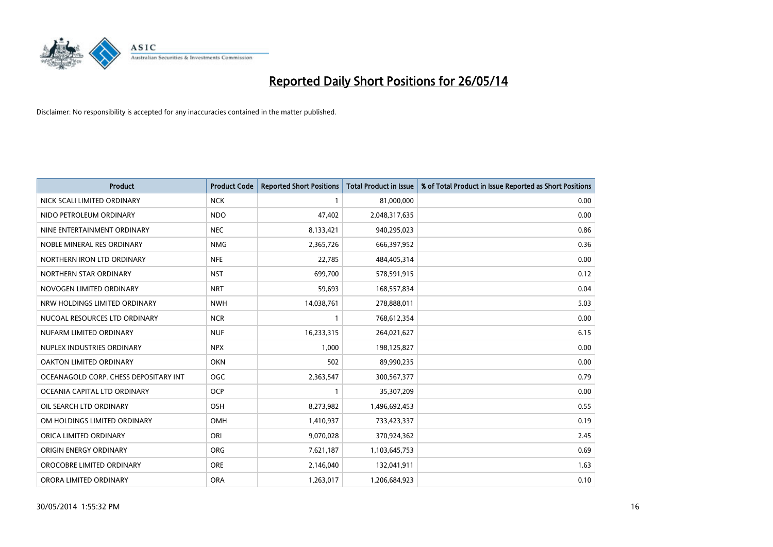

| <b>Product</b>                        | <b>Product Code</b> | <b>Reported Short Positions</b> | <b>Total Product in Issue</b> | % of Total Product in Issue Reported as Short Positions |
|---------------------------------------|---------------------|---------------------------------|-------------------------------|---------------------------------------------------------|
| NICK SCALI LIMITED ORDINARY           | <b>NCK</b>          | $\mathbf{1}$                    | 81,000,000                    | 0.00                                                    |
| NIDO PETROLEUM ORDINARY               | <b>NDO</b>          | 47,402                          | 2,048,317,635                 | 0.00                                                    |
| NINE ENTERTAINMENT ORDINARY           | <b>NEC</b>          | 8,133,421                       | 940,295,023                   | 0.86                                                    |
| NOBLE MINERAL RES ORDINARY            | <b>NMG</b>          | 2,365,726                       | 666,397,952                   | 0.36                                                    |
| NORTHERN IRON LTD ORDINARY            | <b>NFE</b>          | 22,785                          | 484,405,314                   | 0.00                                                    |
| NORTHERN STAR ORDINARY                | <b>NST</b>          | 699,700                         | 578,591,915                   | 0.12                                                    |
| NOVOGEN LIMITED ORDINARY              | <b>NRT</b>          | 59,693                          | 168,557,834                   | 0.04                                                    |
| NRW HOLDINGS LIMITED ORDINARY         | <b>NWH</b>          | 14,038,761                      | 278,888,011                   | 5.03                                                    |
| NUCOAL RESOURCES LTD ORDINARY         | <b>NCR</b>          | 1                               | 768,612,354                   | 0.00                                                    |
| NUFARM LIMITED ORDINARY               | <b>NUF</b>          | 16,233,315                      | 264,021,627                   | 6.15                                                    |
| NUPLEX INDUSTRIES ORDINARY            | <b>NPX</b>          | 1,000                           | 198,125,827                   | 0.00                                                    |
| OAKTON LIMITED ORDINARY               | <b>OKN</b>          | 502                             | 89,990,235                    | 0.00                                                    |
| OCEANAGOLD CORP. CHESS DEPOSITARY INT | <b>OGC</b>          | 2,363,547                       | 300,567,377                   | 0.79                                                    |
| OCEANIA CAPITAL LTD ORDINARY          | <b>OCP</b>          | $\mathbf{1}$                    | 35,307,209                    | 0.00                                                    |
| OIL SEARCH LTD ORDINARY               | OSH                 | 8,273,982                       | 1,496,692,453                 | 0.55                                                    |
| OM HOLDINGS LIMITED ORDINARY          | OMH                 | 1,410,937                       | 733,423,337                   | 0.19                                                    |
| ORICA LIMITED ORDINARY                | ORI                 | 9,070,028                       | 370,924,362                   | 2.45                                                    |
| ORIGIN ENERGY ORDINARY                | <b>ORG</b>          | 7,621,187                       | 1,103,645,753                 | 0.69                                                    |
| OROCOBRE LIMITED ORDINARY             | <b>ORE</b>          | 2,146,040                       | 132,041,911                   | 1.63                                                    |
| ORORA LIMITED ORDINARY                | <b>ORA</b>          | 1,263,017                       | 1,206,684,923                 | 0.10                                                    |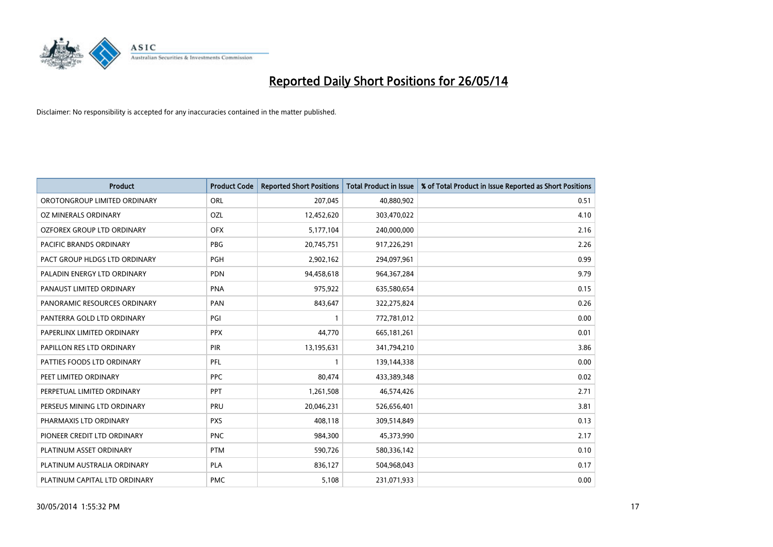

| <b>Product</b>                | <b>Product Code</b> | <b>Reported Short Positions</b> | <b>Total Product in Issue</b> | % of Total Product in Issue Reported as Short Positions |
|-------------------------------|---------------------|---------------------------------|-------------------------------|---------------------------------------------------------|
| OROTONGROUP LIMITED ORDINARY  | ORL                 | 207,045                         | 40,880,902                    | 0.51                                                    |
| OZ MINERALS ORDINARY          | OZL                 | 12,452,620                      | 303,470,022                   | 4.10                                                    |
| OZFOREX GROUP LTD ORDINARY    | <b>OFX</b>          | 5,177,104                       | 240,000,000                   | 2.16                                                    |
| PACIFIC BRANDS ORDINARY       | <b>PBG</b>          | 20,745,751                      | 917,226,291                   | 2.26                                                    |
| PACT GROUP HLDGS LTD ORDINARY | <b>PGH</b>          | 2,902,162                       | 294,097,961                   | 0.99                                                    |
| PALADIN ENERGY LTD ORDINARY   | <b>PDN</b>          | 94,458,618                      | 964,367,284                   | 9.79                                                    |
| PANAUST LIMITED ORDINARY      | <b>PNA</b>          | 975,922                         | 635,580,654                   | 0.15                                                    |
| PANORAMIC RESOURCES ORDINARY  | PAN                 | 843,647                         | 322,275,824                   | 0.26                                                    |
| PANTERRA GOLD LTD ORDINARY    | PGI                 | 1                               | 772,781,012                   | 0.00                                                    |
| PAPERLINX LIMITED ORDINARY    | <b>PPX</b>          | 44,770                          | 665, 181, 261                 | 0.01                                                    |
| PAPILLON RES LTD ORDINARY     | PIR                 | 13,195,631                      | 341,794,210                   | 3.86                                                    |
| PATTIES FOODS LTD ORDINARY    | <b>PFL</b>          | 1                               | 139,144,338                   | 0.00                                                    |
| PEET LIMITED ORDINARY         | <b>PPC</b>          | 80,474                          | 433,389,348                   | 0.02                                                    |
| PERPETUAL LIMITED ORDINARY    | <b>PPT</b>          | 1,261,508                       | 46,574,426                    | 2.71                                                    |
| PERSEUS MINING LTD ORDINARY   | PRU                 | 20,046,231                      | 526,656,401                   | 3.81                                                    |
| PHARMAXIS LTD ORDINARY        | <b>PXS</b>          | 408,118                         | 309,514,849                   | 0.13                                                    |
| PIONEER CREDIT LTD ORDINARY   | <b>PNC</b>          | 984,300                         | 45,373,990                    | 2.17                                                    |
| PLATINUM ASSET ORDINARY       | <b>PTM</b>          | 590,726                         | 580,336,142                   | 0.10                                                    |
| PLATINUM AUSTRALIA ORDINARY   | <b>PLA</b>          | 836,127                         | 504,968,043                   | 0.17                                                    |
| PLATINUM CAPITAL LTD ORDINARY | <b>PMC</b>          | 5,108                           | 231,071,933                   | 0.00                                                    |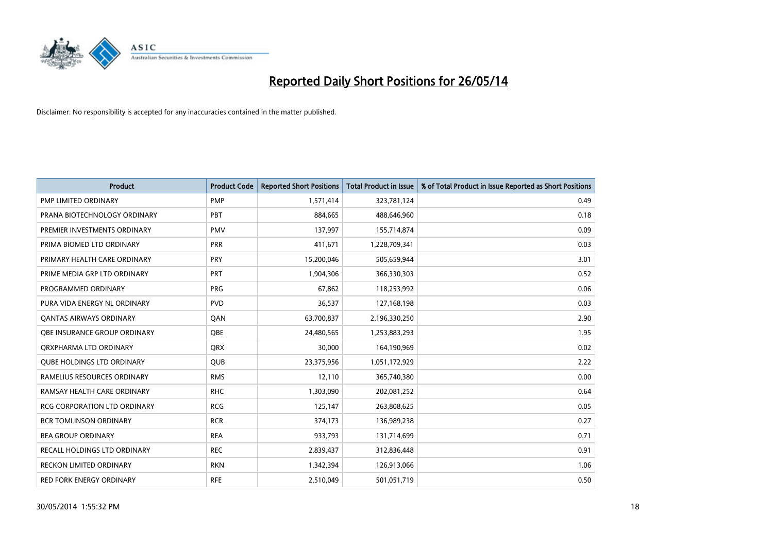

| <b>Product</b>                      | <b>Product Code</b> | <b>Reported Short Positions</b> | <b>Total Product in Issue</b> | % of Total Product in Issue Reported as Short Positions |
|-------------------------------------|---------------------|---------------------------------|-------------------------------|---------------------------------------------------------|
| <b>PMP LIMITED ORDINARY</b>         | <b>PMP</b>          | 1,571,414                       | 323,781,124                   | 0.49                                                    |
| PRANA BIOTECHNOLOGY ORDINARY        | <b>PBT</b>          | 884,665                         | 488,646,960                   | 0.18                                                    |
| PREMIER INVESTMENTS ORDINARY        | <b>PMV</b>          | 137,997                         | 155,714,874                   | 0.09                                                    |
| PRIMA BIOMED LTD ORDINARY           | <b>PRR</b>          | 411,671                         | 1,228,709,341                 | 0.03                                                    |
| PRIMARY HEALTH CARE ORDINARY        | <b>PRY</b>          | 15,200,046                      | 505,659,944                   | 3.01                                                    |
| PRIME MEDIA GRP LTD ORDINARY        | <b>PRT</b>          | 1,904,306                       | 366,330,303                   | 0.52                                                    |
| PROGRAMMED ORDINARY                 | <b>PRG</b>          | 67,862                          | 118,253,992                   | 0.06                                                    |
| PURA VIDA ENERGY NL ORDINARY        | <b>PVD</b>          | 36,537                          | 127,168,198                   | 0.03                                                    |
| <b>QANTAS AIRWAYS ORDINARY</b>      | QAN                 | 63,700,837                      | 2,196,330,250                 | 2.90                                                    |
| OBE INSURANCE GROUP ORDINARY        | <b>OBE</b>          | 24,480,565                      | 1,253,883,293                 | 1.95                                                    |
| ORXPHARMA LTD ORDINARY              | <b>QRX</b>          | 30,000                          | 164,190,969                   | 0.02                                                    |
| <b>QUBE HOLDINGS LTD ORDINARY</b>   | QUB                 | 23,375,956                      | 1,051,172,929                 | 2.22                                                    |
| RAMELIUS RESOURCES ORDINARY         | <b>RMS</b>          | 12,110                          | 365,740,380                   | 0.00                                                    |
| RAMSAY HEALTH CARE ORDINARY         | <b>RHC</b>          | 1,303,090                       | 202,081,252                   | 0.64                                                    |
| <b>RCG CORPORATION LTD ORDINARY</b> | <b>RCG</b>          | 125,147                         | 263,808,625                   | 0.05                                                    |
| <b>RCR TOMLINSON ORDINARY</b>       | <b>RCR</b>          | 374,173                         | 136,989,238                   | 0.27                                                    |
| <b>REA GROUP ORDINARY</b>           | <b>REA</b>          | 933,793                         | 131,714,699                   | 0.71                                                    |
| <b>RECALL HOLDINGS LTD ORDINARY</b> | <b>REC</b>          | 2,839,437                       | 312,836,448                   | 0.91                                                    |
| <b>RECKON LIMITED ORDINARY</b>      | <b>RKN</b>          | 1,342,394                       | 126,913,066                   | 1.06                                                    |
| RED FORK ENERGY ORDINARY            | <b>RFE</b>          | 2,510,049                       | 501,051,719                   | 0.50                                                    |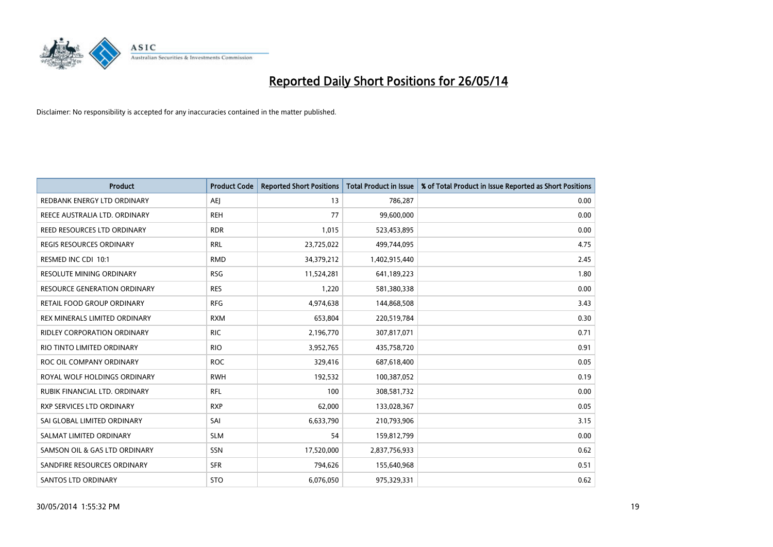

| Product                            | <b>Product Code</b> | <b>Reported Short Positions</b> | <b>Total Product in Issue</b> | % of Total Product in Issue Reported as Short Positions |
|------------------------------------|---------------------|---------------------------------|-------------------------------|---------------------------------------------------------|
| REDBANK ENERGY LTD ORDINARY        | <b>AEJ</b>          | 13                              | 786,287                       | 0.00                                                    |
| REECE AUSTRALIA LTD. ORDINARY      | <b>REH</b>          | 77                              | 99,600,000                    | 0.00                                                    |
| REED RESOURCES LTD ORDINARY        | <b>RDR</b>          | 1,015                           | 523,453,895                   | 0.00                                                    |
| REGIS RESOURCES ORDINARY           | <b>RRL</b>          | 23,725,022                      | 499,744,095                   | 4.75                                                    |
| RESMED INC CDI 10:1                | <b>RMD</b>          | 34,379,212                      | 1,402,915,440                 | 2.45                                                    |
| RESOLUTE MINING ORDINARY           | <b>RSG</b>          | 11,524,281                      | 641,189,223                   | 1.80                                                    |
| RESOURCE GENERATION ORDINARY       | <b>RES</b>          | 1,220                           | 581,380,338                   | 0.00                                                    |
| RETAIL FOOD GROUP ORDINARY         | <b>RFG</b>          | 4,974,638                       | 144,868,508                   | 3.43                                                    |
| REX MINERALS LIMITED ORDINARY      | <b>RXM</b>          | 653,804                         | 220,519,784                   | 0.30                                                    |
| <b>RIDLEY CORPORATION ORDINARY</b> | <b>RIC</b>          | 2,196,770                       | 307,817,071                   | 0.71                                                    |
| RIO TINTO LIMITED ORDINARY         | <b>RIO</b>          | 3,952,765                       | 435,758,720                   | 0.91                                                    |
| ROC OIL COMPANY ORDINARY           | <b>ROC</b>          | 329,416                         | 687,618,400                   | 0.05                                                    |
| ROYAL WOLF HOLDINGS ORDINARY       | <b>RWH</b>          | 192,532                         | 100,387,052                   | 0.19                                                    |
| RUBIK FINANCIAL LTD, ORDINARY      | <b>RFL</b>          | 100                             | 308,581,732                   | 0.00                                                    |
| <b>RXP SERVICES LTD ORDINARY</b>   | <b>RXP</b>          | 62,000                          | 133,028,367                   | 0.05                                                    |
| SAI GLOBAL LIMITED ORDINARY        | SAI                 | 6,633,790                       | 210,793,906                   | 3.15                                                    |
| SALMAT LIMITED ORDINARY            | <b>SLM</b>          | 54                              | 159,812,799                   | 0.00                                                    |
| SAMSON OIL & GAS LTD ORDINARY      | SSN                 | 17,520,000                      | 2,837,756,933                 | 0.62                                                    |
| SANDFIRE RESOURCES ORDINARY        | <b>SFR</b>          | 794,626                         | 155,640,968                   | 0.51                                                    |
| <b>SANTOS LTD ORDINARY</b>         | <b>STO</b>          | 6,076,050                       | 975,329,331                   | 0.62                                                    |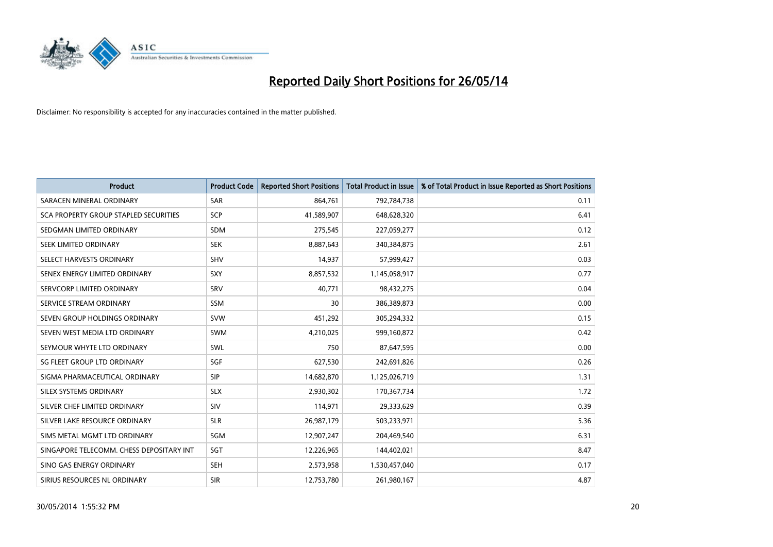

| <b>Product</b>                           | <b>Product Code</b> | <b>Reported Short Positions</b> | <b>Total Product in Issue</b> | % of Total Product in Issue Reported as Short Positions |
|------------------------------------------|---------------------|---------------------------------|-------------------------------|---------------------------------------------------------|
| SARACEN MINERAL ORDINARY                 | SAR                 | 864,761                         | 792,784,738                   | 0.11                                                    |
| SCA PROPERTY GROUP STAPLED SECURITIES    | <b>SCP</b>          | 41,589,907                      | 648,628,320                   | 6.41                                                    |
| SEDGMAN LIMITED ORDINARY                 | <b>SDM</b>          | 275,545                         | 227,059,277                   | 0.12                                                    |
| SEEK LIMITED ORDINARY                    | <b>SEK</b>          | 8,887,643                       | 340,384,875                   | 2.61                                                    |
| SELECT HARVESTS ORDINARY                 | <b>SHV</b>          | 14,937                          | 57,999,427                    | 0.03                                                    |
| SENEX ENERGY LIMITED ORDINARY            | <b>SXY</b>          | 8,857,532                       | 1,145,058,917                 | 0.77                                                    |
| SERVCORP LIMITED ORDINARY                | SRV                 | 40.771                          | 98,432,275                    | 0.04                                                    |
| SERVICE STREAM ORDINARY                  | <b>SSM</b>          | 30                              | 386,389,873                   | 0.00                                                    |
| SEVEN GROUP HOLDINGS ORDINARY            | <b>SVW</b>          | 451,292                         | 305,294,332                   | 0.15                                                    |
| SEVEN WEST MEDIA LTD ORDINARY            | <b>SWM</b>          | 4,210,025                       | 999,160,872                   | 0.42                                                    |
| SEYMOUR WHYTE LTD ORDINARY               | SWL                 | 750                             | 87,647,595                    | 0.00                                                    |
| SG FLEET GROUP LTD ORDINARY              | SGF                 | 627,530                         | 242,691,826                   | 0.26                                                    |
| SIGMA PHARMACEUTICAL ORDINARY            | <b>SIP</b>          | 14,682,870                      | 1,125,026,719                 | 1.31                                                    |
| SILEX SYSTEMS ORDINARY                   | <b>SLX</b>          | 2,930,302                       | 170,367,734                   | 1.72                                                    |
| SILVER CHEF LIMITED ORDINARY             | <b>SIV</b>          | 114,971                         | 29,333,629                    | 0.39                                                    |
| SILVER LAKE RESOURCE ORDINARY            | <b>SLR</b>          | 26,987,179                      | 503,233,971                   | 5.36                                                    |
| SIMS METAL MGMT LTD ORDINARY             | SGM                 | 12,907,247                      | 204,469,540                   | 6.31                                                    |
| SINGAPORE TELECOMM. CHESS DEPOSITARY INT | SGT                 | 12,226,965                      | 144,402,021                   | 8.47                                                    |
| SINO GAS ENERGY ORDINARY                 | <b>SEH</b>          | 2,573,958                       | 1,530,457,040                 | 0.17                                                    |
| SIRIUS RESOURCES NL ORDINARY             | <b>SIR</b>          | 12,753,780                      | 261,980,167                   | 4.87                                                    |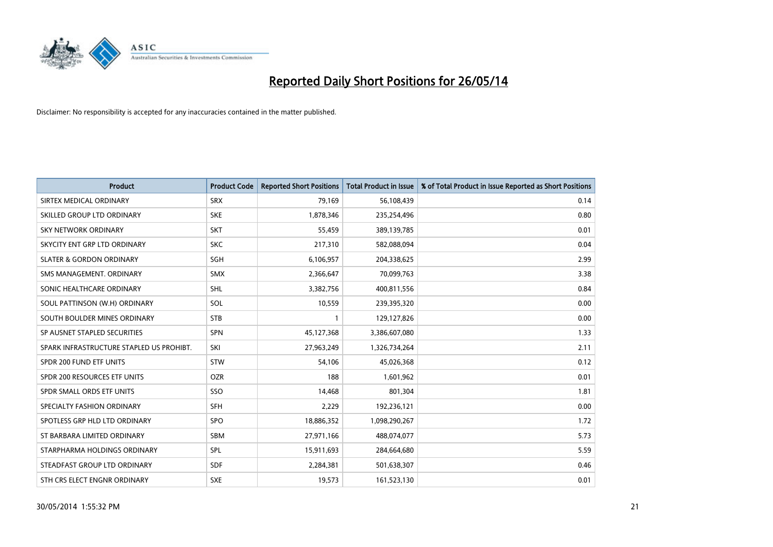

| <b>Product</b>                           | <b>Product Code</b> | <b>Reported Short Positions</b> | <b>Total Product in Issue</b> | % of Total Product in Issue Reported as Short Positions |
|------------------------------------------|---------------------|---------------------------------|-------------------------------|---------------------------------------------------------|
| SIRTEX MEDICAL ORDINARY                  | <b>SRX</b>          | 79,169                          | 56,108,439                    | 0.14                                                    |
| SKILLED GROUP LTD ORDINARY               | <b>SKE</b>          | 1,878,346                       | 235,254,496                   | 0.80                                                    |
| <b>SKY NETWORK ORDINARY</b>              | <b>SKT</b>          | 55,459                          | 389,139,785                   | 0.01                                                    |
| SKYCITY ENT GRP LTD ORDINARY             | <b>SKC</b>          | 217,310                         | 582,088,094                   | 0.04                                                    |
| <b>SLATER &amp; GORDON ORDINARY</b>      | SGH                 | 6,106,957                       | 204,338,625                   | 2.99                                                    |
| SMS MANAGEMENT, ORDINARY                 | <b>SMX</b>          | 2,366,647                       | 70,099,763                    | 3.38                                                    |
| SONIC HEALTHCARE ORDINARY                | <b>SHL</b>          | 3,382,756                       | 400,811,556                   | 0.84                                                    |
| SOUL PATTINSON (W.H) ORDINARY            | SOL                 | 10,559                          | 239,395,320                   | 0.00                                                    |
| SOUTH BOULDER MINES ORDINARY             | <b>STB</b>          | 1                               | 129,127,826                   | 0.00                                                    |
| SP AUSNET STAPLED SECURITIES             | <b>SPN</b>          | 45,127,368                      | 3,386,607,080                 | 1.33                                                    |
| SPARK INFRASTRUCTURE STAPLED US PROHIBT. | SKI                 | 27,963,249                      | 1,326,734,264                 | 2.11                                                    |
| SPDR 200 FUND ETF UNITS                  | <b>STW</b>          | 54,106                          | 45,026,368                    | 0.12                                                    |
| SPDR 200 RESOURCES ETF UNITS             | <b>OZR</b>          | 188                             | 1,601,962                     | 0.01                                                    |
| SPDR SMALL ORDS ETF UNITS                | SSO                 | 14,468                          | 801,304                       | 1.81                                                    |
| SPECIALTY FASHION ORDINARY               | <b>SFH</b>          | 2,229                           | 192,236,121                   | 0.00                                                    |
| SPOTLESS GRP HLD LTD ORDINARY            | SPO                 | 18,886,352                      | 1,098,290,267                 | 1.72                                                    |
| ST BARBARA LIMITED ORDINARY              | SBM                 | 27,971,166                      | 488,074,077                   | 5.73                                                    |
| STARPHARMA HOLDINGS ORDINARY             | <b>SPL</b>          | 15,911,693                      | 284,664,680                   | 5.59                                                    |
| STEADFAST GROUP LTD ORDINARY             | <b>SDF</b>          | 2,284,381                       | 501,638,307                   | 0.46                                                    |
| STH CRS ELECT ENGNR ORDINARY             | <b>SXE</b>          | 19,573                          | 161,523,130                   | 0.01                                                    |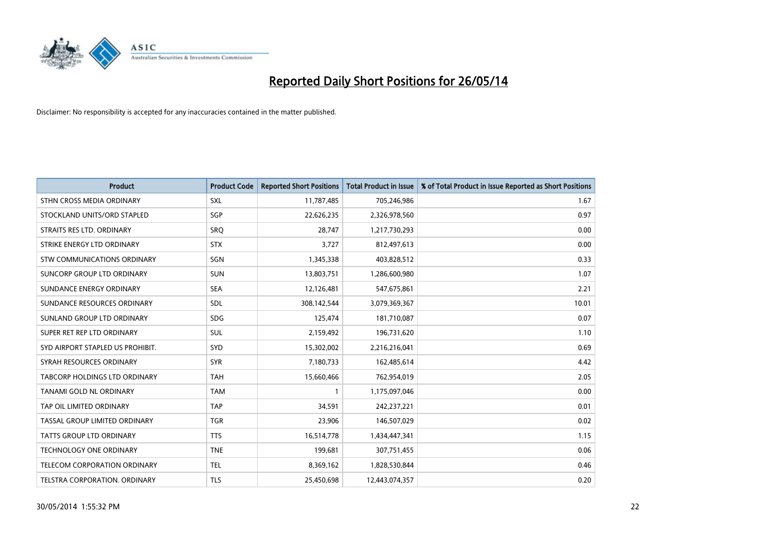

| <b>Product</b>                       | <b>Product Code</b> | <b>Reported Short Positions</b> | <b>Total Product in Issue</b> | % of Total Product in Issue Reported as Short Positions |
|--------------------------------------|---------------------|---------------------------------|-------------------------------|---------------------------------------------------------|
| STHN CROSS MEDIA ORDINARY            | <b>SXL</b>          | 11,787,485                      | 705,246,986                   | 1.67                                                    |
| STOCKLAND UNITS/ORD STAPLED          | SGP                 | 22,626,235                      | 2,326,978,560                 | 0.97                                                    |
| STRAITS RES LTD. ORDINARY            | <b>SRQ</b>          | 28,747                          | 1,217,730,293                 | 0.00                                                    |
| STRIKE ENERGY LTD ORDINARY           | <b>STX</b>          | 3,727                           | 812,497,613                   | 0.00                                                    |
| STW COMMUNICATIONS ORDINARY          | SGN                 | 1,345,338                       | 403,828,512                   | 0.33                                                    |
| SUNCORP GROUP LTD ORDINARY           | <b>SUN</b>          | 13,803,751                      | 1,286,600,980                 | 1.07                                                    |
| SUNDANCE ENERGY ORDINARY             | <b>SEA</b>          | 12,126,481                      | 547,675,861                   | 2.21                                                    |
| SUNDANCE RESOURCES ORDINARY          | SDL                 | 308,142,544                     | 3,079,369,367                 | 10.01                                                   |
| SUNLAND GROUP LTD ORDINARY           | <b>SDG</b>          | 125,474                         | 181,710,087                   | 0.07                                                    |
| SUPER RET REP LTD ORDINARY           | <b>SUL</b>          | 2,159,492                       | 196,731,620                   | 1.10                                                    |
| SYD AIRPORT STAPLED US PROHIBIT.     | <b>SYD</b>          | 15,302,002                      | 2,216,216,041                 | 0.69                                                    |
| SYRAH RESOURCES ORDINARY             | <b>SYR</b>          | 7,180,733                       | 162,485,614                   | 4.42                                                    |
| <b>TABCORP HOLDINGS LTD ORDINARY</b> | <b>TAH</b>          | 15,660,466                      | 762,954,019                   | 2.05                                                    |
| <b>TANAMI GOLD NL ORDINARY</b>       | <b>TAM</b>          | 1                               | 1,175,097,046                 | 0.00                                                    |
| TAP OIL LIMITED ORDINARY             | <b>TAP</b>          | 34,591                          | 242,237,221                   | 0.01                                                    |
| TASSAL GROUP LIMITED ORDINARY        | <b>TGR</b>          | 23,906                          | 146,507,029                   | 0.02                                                    |
| <b>TATTS GROUP LTD ORDINARY</b>      | <b>TTS</b>          | 16,514,778                      | 1,434,447,341                 | 1.15                                                    |
| TECHNOLOGY ONE ORDINARY              | <b>TNE</b>          | 199,681                         | 307,751,455                   | 0.06                                                    |
| TELECOM CORPORATION ORDINARY         | <b>TEL</b>          | 8,369,162                       | 1,828,530,844                 | 0.46                                                    |
| TELSTRA CORPORATION, ORDINARY        | <b>TLS</b>          | 25,450,698                      | 12,443,074,357                | 0.20                                                    |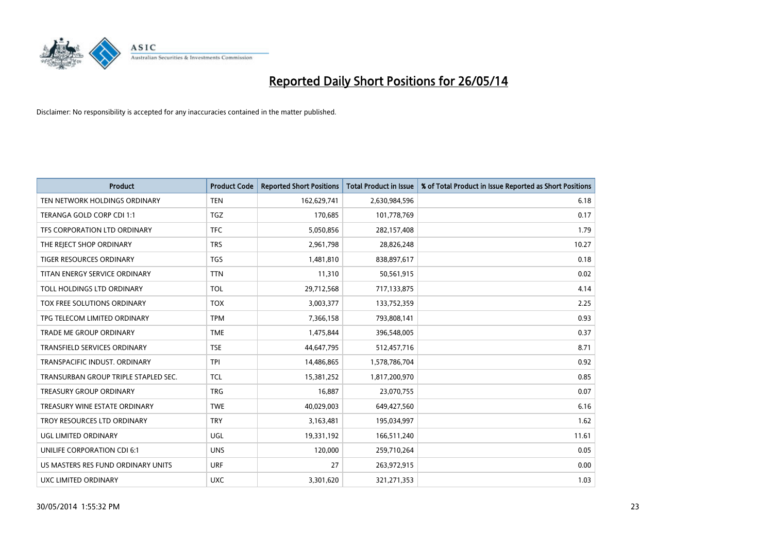

| <b>Product</b>                       | <b>Product Code</b> | <b>Reported Short Positions</b> | <b>Total Product in Issue</b> | % of Total Product in Issue Reported as Short Positions |
|--------------------------------------|---------------------|---------------------------------|-------------------------------|---------------------------------------------------------|
| TEN NETWORK HOLDINGS ORDINARY        | <b>TEN</b>          | 162,629,741                     | 2,630,984,596                 | 6.18                                                    |
| TERANGA GOLD CORP CDI 1:1            | TGZ                 | 170,685                         | 101,778,769                   | 0.17                                                    |
| TFS CORPORATION LTD ORDINARY         | <b>TFC</b>          | 5,050,856                       | 282,157,408                   | 1.79                                                    |
| THE REJECT SHOP ORDINARY             | <b>TRS</b>          | 2,961,798                       | 28,826,248                    | 10.27                                                   |
| <b>TIGER RESOURCES ORDINARY</b>      | <b>TGS</b>          | 1,481,810                       | 838,897,617                   | 0.18                                                    |
| TITAN ENERGY SERVICE ORDINARY        | <b>TTN</b>          | 11,310                          | 50,561,915                    | 0.02                                                    |
| TOLL HOLDINGS LTD ORDINARY           | <b>TOL</b>          | 29,712,568                      | 717,133,875                   | 4.14                                                    |
| TOX FREE SOLUTIONS ORDINARY          | <b>TOX</b>          | 3,003,377                       | 133,752,359                   | 2.25                                                    |
| TPG TELECOM LIMITED ORDINARY         | <b>TPM</b>          | 7,366,158                       | 793,808,141                   | 0.93                                                    |
| <b>TRADE ME GROUP ORDINARY</b>       | <b>TME</b>          | 1,475,844                       | 396,548,005                   | 0.37                                                    |
| TRANSFIELD SERVICES ORDINARY         | <b>TSE</b>          | 44,647,795                      | 512,457,716                   | 8.71                                                    |
| TRANSPACIFIC INDUST, ORDINARY        | <b>TPI</b>          | 14,486,865                      | 1,578,786,704                 | 0.92                                                    |
| TRANSURBAN GROUP TRIPLE STAPLED SEC. | TCL                 | 15,381,252                      | 1,817,200,970                 | 0.85                                                    |
| <b>TREASURY GROUP ORDINARY</b>       | <b>TRG</b>          | 16,887                          | 23,070,755                    | 0.07                                                    |
| TREASURY WINE ESTATE ORDINARY        | <b>TWE</b>          | 40,029,003                      | 649,427,560                   | 6.16                                                    |
| TROY RESOURCES LTD ORDINARY          | <b>TRY</b>          | 3,163,481                       | 195,034,997                   | 1.62                                                    |
| UGL LIMITED ORDINARY                 | UGL                 | 19,331,192                      | 166,511,240                   | 11.61                                                   |
| UNILIFE CORPORATION CDI 6:1          | <b>UNS</b>          | 120,000                         | 259,710,264                   | 0.05                                                    |
| US MASTERS RES FUND ORDINARY UNITS   | <b>URF</b>          | 27                              | 263,972,915                   | 0.00                                                    |
| <b>UXC LIMITED ORDINARY</b>          | <b>UXC</b>          | 3,301,620                       | 321,271,353                   | 1.03                                                    |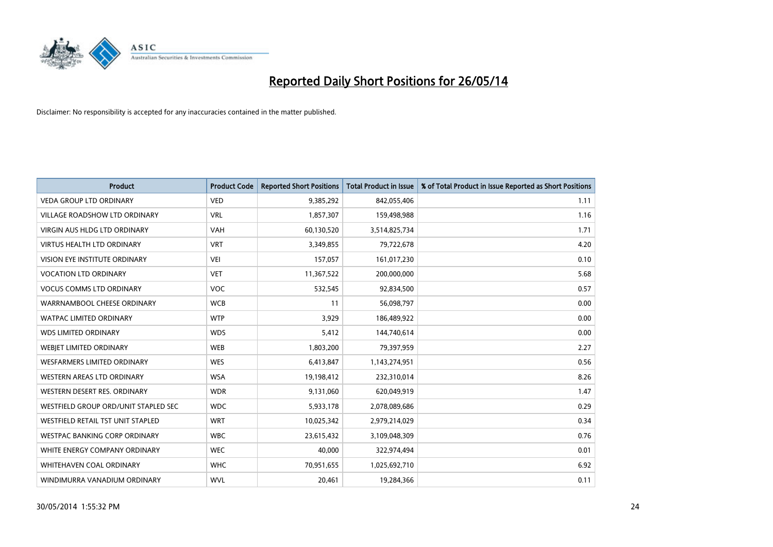

| <b>Product</b>                       | <b>Product Code</b> | <b>Reported Short Positions</b> | <b>Total Product in Issue</b> | % of Total Product in Issue Reported as Short Positions |
|--------------------------------------|---------------------|---------------------------------|-------------------------------|---------------------------------------------------------|
| <b>VEDA GROUP LTD ORDINARY</b>       | <b>VED</b>          | 9,385,292                       | 842,055,406                   | 1.11                                                    |
| VILLAGE ROADSHOW LTD ORDINARY        | <b>VRL</b>          | 1,857,307                       | 159,498,988                   | 1.16                                                    |
| <b>VIRGIN AUS HLDG LTD ORDINARY</b>  | <b>VAH</b>          | 60,130,520                      | 3,514,825,734                 | 1.71                                                    |
| VIRTUS HEALTH LTD ORDINARY           | <b>VRT</b>          | 3,349,855                       | 79,722,678                    | 4.20                                                    |
| VISION EYE INSTITUTE ORDINARY        | <b>VEI</b>          | 157,057                         | 161,017,230                   | 0.10                                                    |
| <b>VOCATION LTD ORDINARY</b>         | <b>VET</b>          | 11,367,522                      | 200,000,000                   | 5.68                                                    |
| <b>VOCUS COMMS LTD ORDINARY</b>      | VOC                 | 532,545                         | 92,834,500                    | 0.57                                                    |
| WARRNAMBOOL CHEESE ORDINARY          | <b>WCB</b>          | 11                              | 56,098,797                    | 0.00                                                    |
| <b>WATPAC LIMITED ORDINARY</b>       | <b>WTP</b>          | 3,929                           | 186,489,922                   | 0.00                                                    |
| <b>WDS LIMITED ORDINARY</b>          | <b>WDS</b>          | 5,412                           | 144,740,614                   | 0.00                                                    |
| WEBIET LIMITED ORDINARY              | <b>WEB</b>          | 1,803,200                       | 79,397,959                    | 2.27                                                    |
| <b>WESFARMERS LIMITED ORDINARY</b>   | <b>WES</b>          | 6,413,847                       | 1,143,274,951                 | 0.56                                                    |
| WESTERN AREAS LTD ORDINARY           | <b>WSA</b>          | 19,198,412                      | 232,310,014                   | 8.26                                                    |
| WESTERN DESERT RES. ORDINARY         | <b>WDR</b>          | 9,131,060                       | 620,049,919                   | 1.47                                                    |
| WESTFIELD GROUP ORD/UNIT STAPLED SEC | <b>WDC</b>          | 5,933,178                       | 2,078,089,686                 | 0.29                                                    |
| WESTFIELD RETAIL TST UNIT STAPLED    | <b>WRT</b>          | 10,025,342                      | 2,979,214,029                 | 0.34                                                    |
| <b>WESTPAC BANKING CORP ORDINARY</b> | <b>WBC</b>          | 23,615,432                      | 3,109,048,309                 | 0.76                                                    |
| WHITE ENERGY COMPANY ORDINARY        | <b>WEC</b>          | 40,000                          | 322,974,494                   | 0.01                                                    |
| WHITEHAVEN COAL ORDINARY             | <b>WHC</b>          | 70,951,655                      | 1,025,692,710                 | 6.92                                                    |
| WINDIMURRA VANADIUM ORDINARY         | <b>WVL</b>          | 20,461                          | 19,284,366                    | 0.11                                                    |